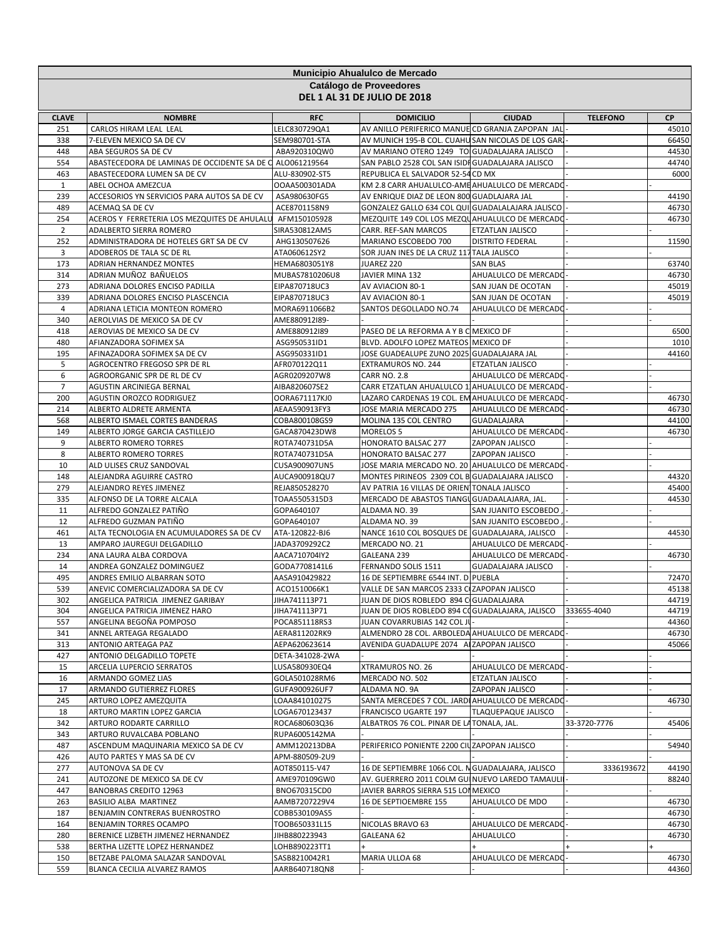| Municipio Ahualulco de Mercado<br>Catálogo de Proveedores |                                                           |                                 |                                                                                                    |                                              |                 |                |  |
|-----------------------------------------------------------|-----------------------------------------------------------|---------------------------------|----------------------------------------------------------------------------------------------------|----------------------------------------------|-----------------|----------------|--|
|                                                           |                                                           |                                 | <b>DEL 1 AL 31 DE JULIO DE 2018</b>                                                                |                                              |                 |                |  |
| <b>CLAVE</b>                                              | <b>NOMBRE</b>                                             | <b>RFC</b>                      | <b>DOMICILIO</b>                                                                                   | <b>CIUDAD</b>                                | <b>TELEFONO</b> | <b>CP</b>      |  |
| 251                                                       | CARLOS HIRAM LEAL LEAL                                    | LELC830729QA1                   | AV ANILLO PERIFERICO MANUE CD GRANJA ZAPOPAN JAL                                                   |                                              |                 | 45010          |  |
| 338<br>448                                                | 7-ELEVEN MEXICO SA DE CV<br>ABA SEGUROS SA DE CV          | SEM980701-STA<br>ABA920310QW0   | AV MUNICH 195-B COL. CUAHU SAN NICOLAS DE LOS GAR.<br>AV MARIANO OTERO 1249 TO GUADALAJARA JALISCO |                                              |                 | 66450<br>44530 |  |
| 554                                                       | ABASTECEDORA DE LAMINAS DE OCCIDENTE SA DE C ALO061219564 |                                 | SAN PABLO 2528 COL SAN ISIDI GUADALAJARA JALISCO                                                   |                                              |                 | 44740          |  |
| 463                                                       | ABASTECEDORA LUMEN SA DE CV                               | ALU-830902-ST5                  | REPUBLICA EL SALVADOR 52-54 CD MX                                                                  |                                              |                 | 6000           |  |
| $\mathbf{1}$                                              | ABEL OCHOA AMEZCUA                                        | OOAA500301ADA                   | KM 2.8 CARR AHUALULCO-AME AHUALULCO DE MERCADO                                                     |                                              |                 |                |  |
| 239                                                       | ACCESORIOS YN SERVICIOS PARA AUTOS SA DE CV               | ASA980630FG5                    | AV ENRIQUE DIAZ DE LEON 800 GUADLAJARA JAL                                                         |                                              |                 | 44190          |  |
| 489                                                       | ACEMAQ SA DE CV                                           | ACE8701158N9                    | GONZALEZ GALLO 634 COL QUI GUADALALAJARA JALISCO                                                   |                                              |                 | 46730          |  |
| 254                                                       | ACEROS Y FERRETERIA LOS MEZQUITES DE AHULALU              | AFM150105928                    | MEZQUITE 149 COL LOS MEZQUAHUALULCO DE MERCADO                                                     |                                              |                 | 46730          |  |
| $\overline{2}$                                            | ADALBERTO SIERRA ROMERO                                   | SIRA530812AM5                   | CARR. REF-SAN MARCOS                                                                               | <b>ETZATLAN JALISCO</b>                      |                 |                |  |
| 252                                                       | ADMINISTRADORA DE HOTELES GRT SA DE CV                    | AHG130507626                    | MARIANO ESCOBEDO 700                                                                               | <b>DISTRITO FEDERAL</b>                      |                 | 11590          |  |
| 3                                                         | ADOBEROS DE TALA SC DE RL                                 | ATA060612SY2                    | SOR JUAN INES DE LA CRUZ 117 TALA JALISCO                                                          |                                              |                 |                |  |
| 173                                                       | ADRIAN HERNANDEZ MONTES                                   | HEMA6803051Y8                   | JUAREZ 220                                                                                         | <b>SAN BLAS</b>                              |                 | 63740          |  |
| 314<br>273                                                | ADRIAN MUÑOZ BAÑUELOS<br>ADRIANA DOLORES ENCISO PADILLA   | MUBAS7810206U8<br>EIPA870718UC3 | JAVIER MINA 132<br>AV AVIACION 80-1                                                                | AHUALULCO DE MERCADO<br>SAN JUAN DE OCOTAN   |                 | 46730<br>45019 |  |
| 339                                                       | ADRIANA DOLORES ENCISO PLASCENCIA                         | EIPA870718UC3                   | AV AVIACION 80-1                                                                                   | SAN JUAN DE OCOTAN                           |                 | 45019          |  |
| $\overline{4}$                                            | ADRIANA LETICIA MONTEON ROMERO                            | MORA6911066B2                   | SANTOS DEGOLLADO NO.74                                                                             | AHUALULCO DE MERCADO                         |                 |                |  |
| 340                                                       | AEROLVIAS DE MEXICO SA DE CV                              | AME880912I89-                   |                                                                                                    |                                              |                 |                |  |
| 418                                                       | AEROVIAS DE MEXICO SA DE CV                               | AME880912I89                    | PASEO DE LA REFORMA A Y B C MEXICO DF                                                              |                                              |                 | 6500           |  |
| 480                                                       | AFIANZADORA SOFIMEX SA                                    | ASG950531ID1                    | BLVD. ADOLFO LOPEZ MATEOS MEXICO DF                                                                |                                              |                 | 1010           |  |
| 195                                                       | AFINAZADORA SOFIMEX SA DE CV                              | ASG950331ID1                    | JOSE GUADEALUPE ZUNO 2025 GUADALAJARA JAL                                                          |                                              |                 | 44160          |  |
| 5                                                         | AGROCENTRO FREGOSO SPR DE RL                              | AFR070122Q11                    | <b>EXTRAMUROS NO. 244</b>                                                                          | ETZATLAN JALISCO                             |                 |                |  |
| 6                                                         | AGROORGANIC SPR DE RL DE CV                               | AGR0209207W8                    | <b>CARR NO. 2.8</b>                                                                                | AHUALULCO DE MERCADO                         |                 |                |  |
| 7                                                         | AGUSTIN ARCINIEGA BERNAL                                  | AIBA820607SE2                   | CARR ETZATLAN AHUALULCO 1 AHUALULCO DE MERCADO                                                     |                                              |                 |                |  |
| 200                                                       | AGUSTIN OROZCO RODRIGUEZ                                  | OORA671117KJ0                   | LAZARO CARDENAS 19 COL. EM AHUALULCO DE MERCADO                                                    |                                              |                 | 46730          |  |
| 214<br>568                                                | ALBERTO ALDRETE ARMENTA<br>ALBERTO ISMAEL CORTES BANDERAS | AEAA590913FY3<br>COBA800108GS9  | JOSE MARIA MERCADO 275<br>MOLINA 135 COL CENTRO                                                    | AHUALULCO DE MERCADO<br><b>GUADALAJARA</b>   |                 | 46730<br>44100 |  |
| 149                                                       | ALBERTO JORGE GARCIA CASTILLEJO                           | GACA870423DW8                   | <b>MORELOS 5</b>                                                                                   | AHUALULCO DE MERCADO                         |                 | 46730          |  |
| 9                                                         | ALBERTO ROMERO TORRES                                     | ROTA740731D5A                   | HONORATO BALSAC 277                                                                                | ZAPOPAN JALISCO                              |                 |                |  |
| 8                                                         | ALBERTO ROMERO TORRES                                     | ROTA740731D5A                   | HONORATO BALSAC 277                                                                                | ZAPOPAN JALISCO                              |                 |                |  |
| 10                                                        | ALD ULISES CRUZ SANDOVAL                                  | CUSA900907UN5                   | JOSE MARIA MERCADO NO. 20 AHUALULCO DE MERCADO                                                     |                                              |                 |                |  |
| 148                                                       | ALEJANDRA AGUIRRE CASTRO                                  | AUCA900918QU7                   | MONTES PIRINEOS 2309 COL B GUADALAJARA JALISCO                                                     |                                              |                 | 44320          |  |
| 279                                                       | ALEJANDRO REYES JIMENEZ                                   | REJA850528270                   | AV PATRIA 16 VILLAS DE ORIEN TONALA JALISCO                                                        |                                              |                 | 45400          |  |
| 335                                                       | ALFONSO DE LA TORRE ALCALA                                | TOAA5505315D3                   | MERCADO DE ABASTOS TIANGU GUADAALAJARA, JAL.                                                       |                                              |                 | 44530          |  |
| 11                                                        | ALFREDO GONZALEZ PATIÑO                                   | GOPA640107                      | ALDAMA NO. 39                                                                                      | SAN JUANITO ESCOBEDO                         |                 |                |  |
| 12                                                        | ALFREDO GUZMAN PATIÑO                                     | GOPA640107                      | ALDAMA NO. 39                                                                                      | SAN JUANITO ESCOBEDO                         |                 |                |  |
| 461                                                       | ALTA TECNOLOGIA EN ACUMULADORES SA DE CV                  | ATA-120822-BJ6                  | NANCE 1610 COL BOSQUES DE GUADALAJARA, JALISCO                                                     |                                              |                 | 44530          |  |
| 13<br>234                                                 | AMPARO JAUREGUI DELGADILLO<br>ANA LAURA ALBA CORDOVA      | JADA3709292C2<br>AACA710704IY2  | MERCADO NO. 21<br>GALEANA 239                                                                      | AHUALULCO DE MERCADO<br>AHUALULCO DE MERCADO |                 | 46730          |  |
| 14                                                        | ANDREA GONZALEZ DOMINGUEZ                                 | GODA7708141L6                   | FERNANDO SOLIS 1511                                                                                | <b>GUADALAJARA JALISCO</b>                   |                 |                |  |
| 495                                                       | ANDRES EMILIO ALBARRAN SOTO                               | AASA910429822                   | 16 DE SEPTIEMBRE 6544 INT. D PUEBLA                                                                |                                              |                 | 72470          |  |
| 539                                                       | ANEVIC COMERCIALIZADORA SA DE CV                          | ACO1510066K1                    | VALLE DE SAN MARCOS 2333 CIZAPOPAN JALISCO                                                         |                                              |                 | 45138          |  |
| 302                                                       | ANGELICA PATRICIA JIMENEZ GARIBAY                         | JIHA741113P71                   | JUAN DE DIOS ROBLEDO 894 C GUADALAJARA                                                             |                                              |                 | 44719          |  |
| 304                                                       | ANGELICA PATRICIA JIMENEZ HARO                            | JIHA741113P71                   | JUAN DE DIOS ROBLEDO 894 COGUADALAJARA, JALISCO                                                    |                                              | 333655-4040     | 44719          |  |
| 557                                                       | ANGELINA BEGOÑA POMPOSO                                   | POCA851118RS3                   | JUAN COVARRUBIAS 142 COL JU                                                                        |                                              |                 | 44360          |  |
| 341                                                       | ANNEL ARTEAGA REGALADO                                    | AERA811202RK9                   | ALMENDRO 28 COL. ARBOLEDA AHUALULCO DE MERCADO                                                     |                                              |                 | 46730          |  |
| 313                                                       | ANTONIO ARTEAGA PAZ                                       | AEPA620623614                   | AVENIDA GUADALUPE 2074 A ZAPOPAN JALISCO                                                           |                                              |                 | 45066          |  |
| 427                                                       | ANTONIO DELGADILLO TOPETE                                 | DETA-341028-2WA                 |                                                                                                    |                                              |                 |                |  |
| 15<br>16                                                  | ARCELIA LUPERCIO SERRATOS<br>ARMANDO GOMEZ LIAS           | LUSA580930EQ4<br>GOLA501028RM6  | XTRAMUROS NO. 26<br>MERCADO NO. 502                                                                | AHUALULCO DE MERCADO<br>ETZATLAN JALISCO     |                 |                |  |
| 17                                                        | ARMANDO GUTIERREZ FLORES                                  | GUFA900926UF7                   | ALDAMA NO. 9A                                                                                      | ZAPOPAN JALISCO                              |                 |                |  |
| 245                                                       | ARTURO LOPEZ AMEZQUITA                                    | LOAA841010275                   | SANTA MERCEDES 7 COL. JARDI AHUALULCO DE MERCADO                                                   |                                              |                 | 46730          |  |
| 18                                                        | ARTURO MARTIN LOPEZ GARCIA                                | LOGA670123437                   | FRANCISCO UGARTE 197                                                                               | TLAQUEPAQUE JALISCO                          |                 |                |  |
| 342                                                       | ARTURO RODARTE CARRILLO                                   | ROCA680603Q36                   | ALBATROS 76 COL. PINAR DE LATONALA, JAL.                                                           |                                              | 33-3720-7776    | 45406          |  |
| 343                                                       | ARTURO RUVALCABA POBLANO                                  | RUPA6005142MA                   |                                                                                                    |                                              |                 |                |  |
| 487                                                       | ASCENDUM MAQUINARIA MEXICO SA DE CV                       | AMM120213DBA                    | PERIFERICO PONIENTE 2200 CIUZAPOPAN JALISCO                                                        |                                              |                 | 54940          |  |
| 426                                                       | AUTO PARTES Y MAS SA DE CV                                | APM-880509-2U9                  |                                                                                                    |                                              |                 |                |  |
| 277                                                       | AUTONOVA SA DE CV                                         | AOT850115-V47                   | 16 DE SEPTIEMBRE 1066 COL. N GUADALAJARA, JALISCO                                                  |                                              | 3336193672      | 44190          |  |
| 241                                                       | AUTOZONE DE MEXICO SA DE CV                               | AME970109GW0                    | AV. GUERRERO 2011 COLM GUI NUEVO LAREDO TAMAULI                                                    |                                              |                 | 88240          |  |
| 447                                                       | <b>BANOBRAS CREDITO 12963</b>                             | BNO670315CD0                    | JAVIER BARROS SIERRA 515 LOI MEXICO                                                                |                                              |                 |                |  |
| 263<br>187                                                | BASILIO ALBA MARTINEZ                                     | AAMB7207229V4                   | 16 DE SEPTIOEMBRE 155                                                                              | AHUALULCO DE MDO                             |                 | 46730          |  |
| 164                                                       | BENJAMIN CONTRERAS BUENROSTRO<br>BENJAMIN TORRES OCAMPO   | COBB530109AS5<br>TOOB650331L15  | NICOLAS BRAVO 63                                                                                   | AHUALULCO DE MERCADO                         |                 | 46730<br>46730 |  |
| 280                                                       | BERENICE LIZBETH JIMENEZ HERNANDEZ                        | JIHB880223943                   | GALEANA 62                                                                                         | AHUALULCO                                    |                 | 46730          |  |
| 538                                                       | BERTHA LIZETTE LOPEZ HERNANDEZ                            | LOHB890223TT1                   |                                                                                                    |                                              |                 |                |  |
| 150                                                       | BETZABE PALOMA SALAZAR SANDOVAL                           | SASB8210042R1                   | MARIA ULLOA 68                                                                                     | AHUALULCO DE MERCADO                         |                 | 46730          |  |
| 559                                                       | BLANCA CECILIA ALVAREZ RAMOS                              | AARB640718QN8                   |                                                                                                    |                                              |                 | 44360          |  |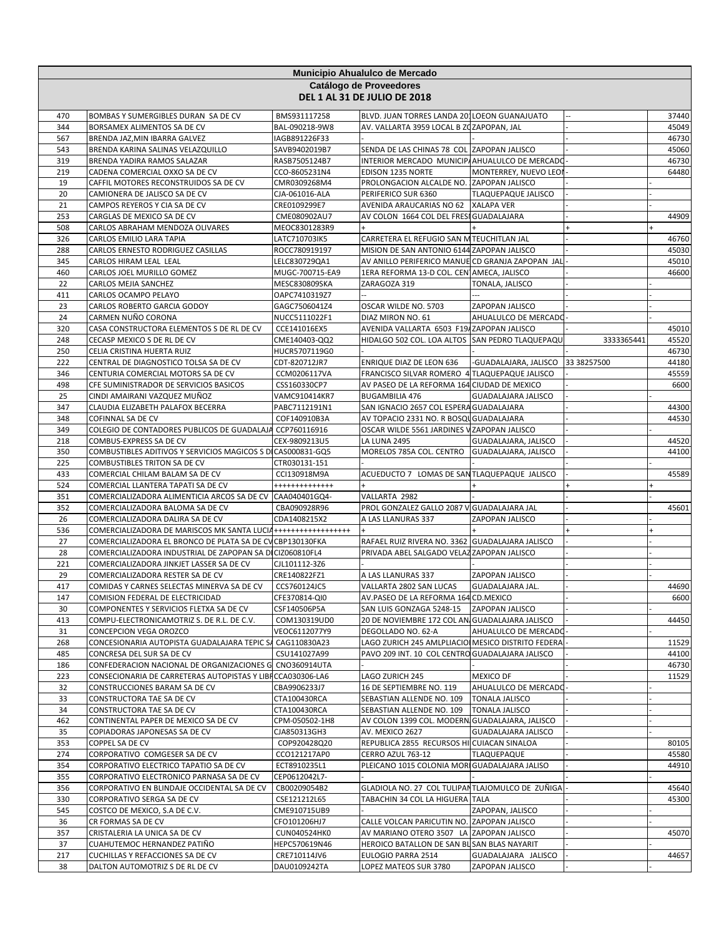|            | Municipio Ahualulco de Mercado                                                                       |                                |                                                                                                |                            |             |                |  |  |
|------------|------------------------------------------------------------------------------------------------------|--------------------------------|------------------------------------------------------------------------------------------------|----------------------------|-------------|----------------|--|--|
|            |                                                                                                      |                                | Catálogo de Proveedores                                                                        |                            |             |                |  |  |
|            |                                                                                                      |                                | <b>DEL 1 AL 31 DE JULIO DE 2018</b>                                                            |                            |             |                |  |  |
| 470        | BOMBAS Y SUMERGIBLES DURAN SA DE CV                                                                  | BMS931117258                   | BLVD. JUAN TORRES LANDA 201LOEON GUANAJUATO                                                    |                            |             | 37440          |  |  |
| 344        | BORSAMEX ALIMENTOS SA DE CV                                                                          | BAL-090218-9W8                 | AV. VALLARTA 3959 LOCAL B ZOZAPOPAN, JAL                                                       |                            |             | 45049          |  |  |
| 567        | BRENDA JAZ, MIN IBARRA GALVEZ                                                                        | IAGB891226F33                  |                                                                                                |                            |             | 46730          |  |  |
| 543        | BRENDA KARINA SALINAS VELAZQUILLO                                                                    | SAVB9402019B7                  | SENDA DE LAS CHINAS 78 COL ZAPOPAN JALISCO                                                     |                            |             | 45060          |  |  |
| 319<br>219 | BRENDA YADIRA RAMOS SALAZAR<br>CADENA COMERCIAL OXXO SA DE CV                                        | RASB7505124B7<br>CCO-8605231N4 | INTERIOR MERCADO MUNICIP/AHUALULCO DE MERCADO<br><b>EDISON 1235 NORTE</b>                      | MONTERREY, NUEVO LEOI      |             | 46730<br>64480 |  |  |
| 19         | CAFFIL MOTORES RECONSTRUIDOS SA DE CV                                                                | CMR0309268M4                   | PROLONGACION ALCALDE NO. ZAPOPAN JALISCO                                                       |                            |             |                |  |  |
| 20         | CAMIONERA DE JALISCO SA DE CV                                                                        | CJA-061016-ALA                 | PERIFERICO SUR 6360                                                                            | TLAQUEPAQUE JALISCO        |             |                |  |  |
| 21         | CAMPOS REYEROS Y CIA SA DE CV                                                                        | CRE0109299E7                   | AVENIDA ARAUCARIAS NO 62                                                                       | <b>XALAPA VER</b>          |             |                |  |  |
| 253        | CARGLAS DE MEXICO SA DE CV                                                                           | CME080902AU7                   | AV COLON 1664 COL DEL FRESI GUADALAJARA                                                        |                            |             | 44909          |  |  |
| 508        | CARLOS ABRAHAM MENDOZA OLIVARES                                                                      | MEOC8301283R9                  |                                                                                                |                            |             |                |  |  |
| 326        | CARLOS EMILIO LARA TAPIA                                                                             | LATC710703IK5                  | CARRETERA EL REFUGIO SAN M TEUCHITLAN JAL                                                      |                            |             | 46760          |  |  |
| 288<br>345 | CARLOS ERNESTO RODRIGUEZ CASILLAS<br>CARLOS HIRAM LEAL LEAL                                          | ROCC780919197<br>LELC830729QA1 | MISION DE SAN ANTONIO 6144 ZAPOPAN JALISCO<br>AV ANILLO PERIFERICO MANUE CD GRANJA ZAPOPAN JAL |                            |             | 45030<br>45010 |  |  |
| 460        | CARLOS JOEL MURILLO GOMEZ                                                                            | MUGC-700715-EA9                | 1ERA REFORMA 13-D COL. CEN AMECA, JALISCO                                                      |                            |             | 46600          |  |  |
| 22         | CARLOS MEJIA SANCHEZ                                                                                 | MESC830809SKA                  | ZARAGOZA 319                                                                                   | TONALA, JALISCO            |             |                |  |  |
| 411        | CARLOS OCAMPO PELAYO                                                                                 | OAPC7410319Z7                  |                                                                                                |                            |             |                |  |  |
| 23         | CARLOS ROBERTO GARCIA GODOY                                                                          | GAGC7506041Z4                  | OSCAR WILDE NO. 5703                                                                           | ZAPOPAN JALISCO            |             |                |  |  |
| 24         | CARMEN NUÑO CORONA                                                                                   | NUCC5111022F1                  | DIAZ MIRON NO. 61                                                                              | AHUALULCO DE MERCADO       |             |                |  |  |
| 320        | CASA CONSTRUCTORA ELEMENTOS S DE RL DE CV                                                            | CCE141016EX5                   | AVENIDA VALLARTA 6503 F19/ZAPOPAN JALISCO                                                      |                            |             | 45010          |  |  |
| 248        | CECASP MEXICO S DE RL DE CV                                                                          | CME140403-QQ2                  | HIDALGO 502 COL. LOA ALTOS SAN PEDRO TLAQUEPAQU                                                |                            | 3333365441  | 45520          |  |  |
| 250<br>222 | CELIA CRISTINA HUERTA RUIZ<br>CENTRAL DE DIAGNOSTICO TOLSA SA DE CV                                  | HUCR5707119G0<br>CDT-820712JR7 | ENRIQUE DIAZ DE LEON 636                                                                       | -GUADALAJARA, JALISCO      | 33 38257500 | 46730<br>44180 |  |  |
| 346        | CENTURIA COMERCIAL MOTORS SA DE CV                                                                   | CCM0206117VA                   | FRANCISCO SILVAR ROMERO 4 TLAQUEPAQUE JALISCO                                                  |                            |             | 45559          |  |  |
| 498        | CFE SUMINISTRADOR DE SERVICIOS BASICOS                                                               | CSS160330CP7                   | AV PASEO DE LA REFORMA 164 CIUDAD DE MEXICO                                                    |                            |             | 6600           |  |  |
| 25         | CINDI AMAIRANI VAZQUEZ MUÑOZ                                                                         | VAMC910414KR7                  | <b>BUGAMBILIA 476</b>                                                                          | <b>GUADALAJARA JALISCO</b> |             |                |  |  |
| 347        | CLAUDIA ELIZABETH PALAFOX BECERRA                                                                    | PABC7112191N1                  | SAN IGNACIO 2657 COL ESPERA GUADALAJARA                                                        |                            |             | 44300          |  |  |
| 348        | COFINNAL SA DE CV                                                                                    | COF140910B3A                   | AV TOPACIO 2331 NO. R BOSQU GUADALAJARA                                                        |                            |             | 44530          |  |  |
| 349        | COLEGIO DE CONTADORES PUBLICOS DE GUADALAJA CCP760116916                                             |                                | OSCAR WILDE 5561 JARDINES V ZAPOPAN JALISCO                                                    |                            |             |                |  |  |
| 218<br>350 | COMBUS-EXPRESS SA DE CV<br>COMBUSTIBLES ADITIVOS Y SERVICIOS MAGICOS S DI CAS000831-GQ5              | CEX-9809213U5                  | LA LUNA 2495<br>MORELOS 785A COL. CENTRO GUADALAJARA, JALISCO                                  | GUADALAJARA, JALISCO       |             | 44520<br>44100 |  |  |
| 225        | COMBUSTIBLES TRITON SA DE CV                                                                         | CTR030131-151                  |                                                                                                |                            |             |                |  |  |
| 433        | COMERCIAL CHILAM BALAM SA DE CV                                                                      | CCI130918M9A                   | ACUEDUCTO 7 LOMAS DE SANTLAQUEPAQUE JALISCO                                                    |                            |             | 45589          |  |  |
| 524        | COMERCIAL LLANTERA TAPATI SA DE CV                                                                   | +++++++++++++                  |                                                                                                |                            |             |                |  |  |
| 351        | COMERCIALIZADORA ALIMENTICIA ARCOS SA DE CV                                                          | CAA040401GQ4-                  | VALLARTA 2982                                                                                  |                            |             |                |  |  |
| 352        | COMERCIALIZADORA BALOMA SA DE CV                                                                     | CBA090928R96                   | PROL GONZALEZ GALLO 2087 V GUADALAJARA JAL                                                     |                            |             | 45601          |  |  |
| 26<br>536  | COMERCIALIZADORA DALIRA SA DE CV<br>COMERCIALIZADORA DE MARISCOS MK SANTA LUCIA ++++++++++++++++++++ | CDA1408215X2                   | A LAS LLANURAS 337                                                                             | ZAPOPAN JALISCO            |             |                |  |  |
| 27         | COMERCIALIZADORA EL BRONCO DE PLATA SA DE CV CBP130130FKA                                            |                                | RAFAEL RUIZ RIVERA NO. 3362 GUADALAJARA JALISCO                                                |                            |             |                |  |  |
| 28         | COMERCIALIZADORA INDUSTRIAL DE ZAPOPAN SA DI CIZ060810FL4                                            |                                | PRIVADA ABEL SALGADO VELAZ ZAPOPAN JALISCO                                                     |                            |             |                |  |  |
| 221        | COMERCIALIZADORA JINKJET LASSER SA DE CV                                                             | CJL101112-3Z6                  |                                                                                                |                            |             |                |  |  |
| 29         | COMERCIALIZADORA RESTER SA DE CV                                                                     | CRE140822FZ1                   | A LAS LLANURAS 337                                                                             | ZAPOPAN JALISCO            |             |                |  |  |
| 417        | COMIDAS Y CARNES SELECTAS MINERVA SA DE CV                                                           | CCS760124JC5                   | VALLARTA 2802 SAN LUCAS                                                                        | GUADALAJARA JAL.           |             | 44690          |  |  |
| 147        | COMISION FEDERAL DE ELECTRICIDAD                                                                     | CFE370814-QI0                  | AV.PASEO DE LA REFORMA 164 CD.MEXICO                                                           |                            |             | 6600           |  |  |
| 30         | COMPONENTES Y SERVICIOS FLETXA SA DE CV                                                              | CSF140506P5A                   | SAN LUIS GONZAGA 5248-15                                                                       | ZAPOPAN JALISCO            |             |                |  |  |
| 413<br>31  | COMPU-ELECTRONICAMOTRIZ S. DE R.L. DE C.V.<br>CONCEPCION VEGA OROZCO                                 | COM130319UD0<br>VEOC6112077Y9  | 20 DE NOVIEMBRE 172 COL AN GUADALAJARA JALISCO<br>DEGOLLADO NO. 62-A                           | AHUALULCO DE MERCADO       |             | 44450          |  |  |
| 268        | CONCESIONARIA AUTOPISTA GUADALAJARA TEPIC SA                                                         | CAG110830A23                   | LAGO ZURICH 245 AMLPLIACIO MESICO DISTRITO FEDERA                                              |                            |             | 11529          |  |  |
| 485        | CONCRESA DEL SUR SA DE CV                                                                            | CSU141027A99                   | PAVO 209 INT. 10 COL CENTRO GUADALAJARA JALISCO                                                |                            |             | 44100          |  |  |
| 186        | CONFEDERACION NACIONAL DE ORGANIZACIONES G CNO360914UTA                                              |                                |                                                                                                |                            |             | 46730          |  |  |
| 223        | CONSECIONARIA DE CARRETERAS AUTOPISTAS Y LIBI CCA030306-LA6                                          |                                | LAGO ZURICH 245                                                                                | <b>MEXICO DF</b>           |             | 11529          |  |  |
| 32         | CONSTRUCCIONES BARAM SA DE CV                                                                        | CBA9906233J7                   | 16 DE SEPTIEMBRE NO. 119                                                                       | AHUALULCO DE MERCADO       |             |                |  |  |
| 33         | CONSTRUCTORA TAE SA DE CV                                                                            | CTA100430RCA                   | SEBASTIAN ALLENDE NO. 109                                                                      | <b>TONALA JALISCO</b>      |             |                |  |  |
| 34<br>462  | CONSTRUCTORA TAE SA DE CV                                                                            | CTA100430RCA                   | SEBASTIAN ALLENDE NO. 109<br>AV COLON 1399 COL. MODERNI GUADALAJARA, JALISCO                   | <b>TONALA JALISCO</b>      |             |                |  |  |
| 35         | CONTINENTAL PAPER DE MEXICO SA DE CV<br>COPIADORAS JAPONESAS SA DE CV                                | CPM-050502-1H8<br>CJA850313GH3 | AV. MEXICO 2627                                                                                | GUADALAJARA JALISCO        |             |                |  |  |
| 353        | COPPEL SA DE CV                                                                                      | COP920428Q20                   | REPUBLICA 2855 RECURSOS HI CUIACAN SINALOA                                                     |                            |             | 80105          |  |  |
| 274        | CORPORATIVO COMGESER SA DE CV                                                                        | CCO121217AP0                   | CERRO AZUL 763-12                                                                              | TLAQUEPAQUE                |             | 45580          |  |  |
| 354        | CORPORATIVO ELECTRICO TAPATIO SA DE CV                                                               | ECT8910235L1                   | PLEICANO 1015 COLONIA MORI GUADALAJARA JALISO                                                  |                            |             | 44910          |  |  |
| 355        | CORPORATIVO ELECTRONICO PARNASA SA DE CV                                                             | CEP0612042L7-                  |                                                                                                |                            |             |                |  |  |
| 356        | CORPORATIVO EN BLINDAJE OCCIDENTAL SA DE CV                                                          | CB00209054B2                   | GLADIOLA NO. 27 COL TULIPAN TLAJOMULCO DE ZUÑIGA                                               |                            |             | 45640          |  |  |
| 330        | CORPORATIVO SERGA SA DE CV                                                                           | CSE121212L65                   | TABACHIN 34 COL LA HIGUERA TALA                                                                |                            |             | 45300          |  |  |
| 545<br>36  | COSTCO DE MEXICO, S.A DE C.V.<br>CR FORMAS SA DE CV                                                  | CME910715UB9<br>CFO101206HJ7   | CALLE VOLCAN PARICUTIN NO. ZAPOPAN JALISCO                                                     | ZAPOPAN, JALISCO           |             |                |  |  |
| 357        | CRISTALERIA LA UNICA SA DE CV                                                                        | CUN040524HK0                   | AV MARIANO OTERO 3507 LA ZAPOPAN JALISCO                                                       |                            |             | 45070          |  |  |
| 37         | CUAHUTEMOC HERNANDEZ PATIÑO                                                                          | HEPC570619N46                  | HEROICO BATALLON DE SAN BL SAN BLAS NAYARIT                                                    |                            |             |                |  |  |
| 217        | CUCHILLAS Y REFACCIONES SA DE CV                                                                     | CRE710114JV6                   | EULOGIO PARRA 2514                                                                             | GUADALAJARA JALISCO        |             | 44657          |  |  |
| 38         | DALTON AUTOMOTRIZ S DE RL DE CV                                                                      | DAU0109242TA                   | LOPEZ MATEOS SUR 3780                                                                          | ZAPOPAN JALISCO            |             |                |  |  |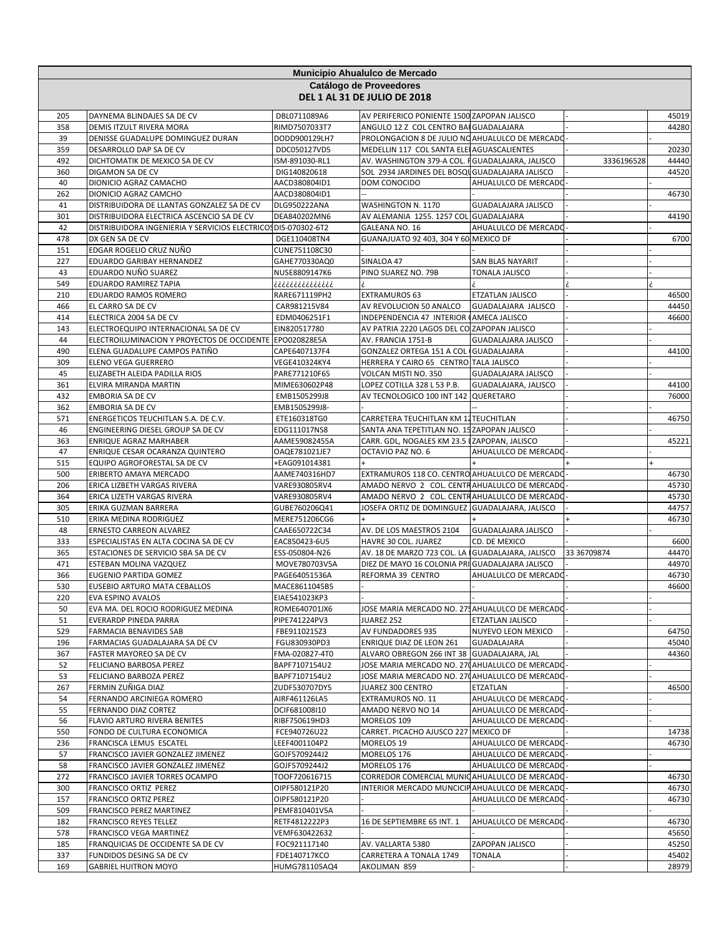|            |                                                                        |                                | Municipio Ahualulco de Mercado                                                        |                                              |             |                |
|------------|------------------------------------------------------------------------|--------------------------------|---------------------------------------------------------------------------------------|----------------------------------------------|-------------|----------------|
|            |                                                                        |                                | Catálogo de Proveedores                                                               |                                              |             |                |
|            |                                                                        |                                | <b>DEL 1 AL 31 DE JULIO DE 2018</b>                                                   |                                              |             |                |
|            |                                                                        |                                |                                                                                       |                                              |             |                |
| 205<br>358 | DAYNEMA BLINDAJES SA DE CV<br>DEMIS ITZULT RIVERA MORA                 | DBL0711089A6<br>RIMD7507033T7  | AV PERIFERICO PONIENTE 1500 ZAPOPAN JALISCO<br>ANGULO 12 Z COL CENTRO BAI GUADALAJARA |                                              |             | 45019<br>44280 |
| 39         | DENISSE GUADALUPE DOMINGUEZ DURAN                                      | DODD900129LH7                  | PROLONGACION 8 DE JULIO NO AHUALULCO DE MERCADO                                       |                                              |             |                |
| 359        | DESARROLLO DAP SA DE CV                                                | DDC050127VD5                   | MEDELLIN 117 COL SANTA ELEI AGUASCALIENTES                                            |                                              |             | 20230          |
| 492        | DICHTOMATIK DE MEXICO SA DE CV                                         | ISM-891030-RL1                 | AV. WASHINGTON 379-A COL. FGUADALAJARA, JALISCO                                       |                                              | 3336196528  | 44440          |
| 360        | DIGAMON SA DE CV                                                       | DIG140820618                   | SOL 2934 JARDINES DEL BOSQU GUADALAJARA JALISCO                                       |                                              |             | 44520          |
| 40         | DIONICIO AGRAZ CAMACHO                                                 | AACD380804ID1                  | DOM CONOCIDO                                                                          | AHUALULCO DE MERCADO                         |             |                |
| 262        | DIONICIO AGRAZ CAMCHO                                                  | AACD380804ID1                  |                                                                                       |                                              |             | 46730          |
| 41         | DISTRIBUIDORA DE LLANTAS GONZALEZ SA DE CV                             | DLG950222ANA                   | WASHINGTON N. 1170                                                                    | <b>GUADALAJARA JALISCO</b>                   |             |                |
| 301        | DISTRIBUIDORA ELECTRICA ASCENCIO SA DE CV                              | DEA840202MN6                   | AV ALEMANIA 1255. 1257 COL GUADALAJARA                                                |                                              |             | 44190          |
| 42         | DISTRIBUIDORA INGENIERIA Y SERVICIOS ELECTRICOS DIS-070302-6T2         |                                | GALEANA NO. 16                                                                        | AHUALULCO DE MERCADO                         |             |                |
| 478<br>151 | DX GEN SA DE CV<br>EDGAR ROGELIO CRUZ NUÑO                             | DGE110408TN4<br>CUNE751108C30  | GUANAJUATO 92 403, 304 Y 60 MEXICO DF                                                 |                                              |             | 6700           |
| 227        | EDUARDO GARIBAY HERNANDEZ                                              | GAHE770330AQ0                  | SINALOA 47                                                                            | SAN BLAS NAYARIT                             |             |                |
| 43         | EDUARDO NUÑO SUAREZ                                                    | NUSE8809147K6                  | PINO SUAREZ NO. 79B                                                                   | <b>TONALA JALISCO</b>                        |             |                |
| 549        | EDUARDO RAMIREZ TAPIA                                                  | ذذذذذذذذذذذذذذ                 |                                                                                       |                                              |             |                |
| 210        | EDUARDO RAMOS ROMERO                                                   | RARE671119PH2                  | <b>EXTRAMUROS 63</b>                                                                  | ETZATLAN JALISCO                             |             | 46500          |
| 466        | EL CARRO SA DE CV                                                      | CAR981215V84                   | AV REVOLUCION 50 ANALCO                                                               | GUADALAJARA JALISCO                          |             | 44450          |
| 414        | ELECTRICA 2004 SA DE CV                                                | EDM0406251F1                   | INDEPENDENCIA 47 INTERIOR (AMECA JALISCO                                              |                                              |             | 46600          |
| 143        | ELECTROEQUIPO INTERNACIONAL SA DE CV                                   | EIN820517780                   | AV PATRIA 2220 LAGOS DEL CO ZAPOPAN JALISCO                                           |                                              |             |                |
| 44         | ELECTROILUMINACION Y PROYECTOS DE OCCIDENTE                            | EPO020828E5A                   | AV. FRANCIA 1751-B                                                                    | <b>GUADALAJARA JALISCO</b>                   |             |                |
| 490        | ELENA GUADALUPE CAMPOS PATIÑO                                          | CAPE6407137F4                  | GONZALEZ ORTEGA 151 A COL GUADALAJARA                                                 |                                              |             | 44100          |
| 309        | ELENO VEGA GUERRERO                                                    | VEGE410324KY4                  | HERRERA Y CAIRO 65 CENTRO TALA JALISCO                                                |                                              |             |                |
| 45<br>361  | ELIZABETH ALEIDA PADILLA RIOS<br>ELVIRA MIRANDA MARTIN                 | PARE771210F65                  | VOLCAN MISTI NO. 350                                                                  | GUADALAJARA JALISCO<br>GUADALAJARA, JALISCO  |             | 44100          |
| 432        | EMBORIA SA DE CV                                                       | MIME630602P48<br>EMB1505299J8  | LOPEZ COTILLA 328 L 53 P.B.<br>AV TECNOLOGICO 100 INT 142 QUERETARO                   |                                              |             | 76000          |
| 362        | <b>EMBORIA SA DE CV</b>                                                | EMB1505299J8-                  |                                                                                       |                                              |             |                |
| 571        | ENERGETICOS TEUCHITLAN S.A. DE C.V.                                    | ETE160318TG0                   | CARRETERA TEUCHITLAN KM 12 TEUCHITLAN                                                 |                                              |             | 46750          |
| 46         | ENGINEERING DIESEL GROUP SA DE CV                                      | EDG111017NS8                   | SANTA ANA TEPETITLAN NO. 15 ZAPOPAN JALISCO                                           |                                              |             |                |
| 363        | <b>ENRIQUE AGRAZ MARHABER</b>                                          | AAME59082455A                  | CARR. GDL, NOGALES KM 23.5 IZAPOPAN, JALISCO                                          |                                              |             | 45221          |
| 47         | ENRIQUE CESAR OCARANZA QUINTERO                                        | OAQE781021JE7                  | OCTAVIO PAZ NO. 6                                                                     | AHUALULCO DE MERCADO                         |             |                |
| 515        | EQUIPO AGROFORESTAL SA DE CV                                           | +EAG091014381                  |                                                                                       |                                              |             |                |
| 500        | ERIBERTO AMAYA MERCADO                                                 | AAME740316HD7                  | EXTRAMUROS 118 CO. CENTRO AHUALULCO DE MERCADO                                        |                                              |             | 46730          |
| 206        | ERICA LIZBETH VARGAS RIVERA                                            | VARE930805RV4                  | AMADO NERVO 2 COL. CENTRAHUALULCO DE MERCADO                                          |                                              |             | 45730          |
| 364        | ERICA LIZETH VARGAS RIVERA                                             | VARE930805RV4                  | AMADO NERVO 2 COL. CENTRAHUALULCO DE MERCADO                                          |                                              |             | 45730          |
| 305<br>510 | ERIKA GUZMAN BARRERA<br>ERIKA MEDINA RODRIGUEZ                         | GUBE760206Q41<br>MERE751206CG6 | JOSEFA ORTIZ DE DOMINGUEZ GUADALAJARA, JALISCO                                        |                                              |             | 44757<br>46730 |
| 48         | ERNESTO CARREON ALVAREZ                                                | CAAE650722C34                  | AV. DE LOS MAESTROS 2104                                                              | <b>GUADALAJARA JALISCO</b>                   |             |                |
| 333        | ESPECIALISTAS EN ALTA COCINA SA DE CV                                  | EAC850423-6U5                  | HAVRE 30 COL. JUAREZ                                                                  | CD. DE MEXICO                                |             | 6600           |
| 365        | ESTACIONES DE SERVICIO SBA SA DE CV                                    | ESS-050804-N26                 | AV. 18 DE MARZO 723 COL. LA IGUADALAJARA, JALISCO                                     |                                              | 33 36709874 | 44470          |
| 471        | ESTEBAN MOLINA VAZQUEZ                                                 | MOVE780703V5A                  | DIEZ DE MAYO 16 COLONIA PRI GUADALAJARA JALISCO                                       |                                              |             | 44970          |
| 366        | EUGENIO PARTIDA GOMEZ                                                  | PAGE64051536A                  | REFORMA 39 CENTRO                                                                     | AHUALULCO DE MERCADO                         |             | 46730          |
| 530        | <b>EUSEBIO ARTURO MATA CEBALLOS</b>                                    | MACE8611045B5                  |                                                                                       |                                              |             | 46600          |
| 220        | EVA ESPINO AVALOS                                                      | EIAE541023KP3                  |                                                                                       |                                              |             |                |
| 50         | EVA MA. DEL ROCIO RODRIGUEZ MEDINA                                     | ROME640701JX6                  | JOSE MARIA MERCADO NO. 275 AHUALULCO DE MERCADO                                       |                                              |             |                |
| 51         | EVERARDP PINEDA PARRA                                                  | PIPE741224PV3<br>FBE9110215Z3  | JUAREZ 252                                                                            | <b>ETZATLAN JALISCO</b>                      |             |                |
| 529<br>196 | <b>FARMACIA BENAVIDES SAB</b><br>FARMACIAS GUADALAJARA SA DE CV        | FGU830930PD3                   | AV FUNDADORES 935<br>ENRIQUE DIAZ DE LEON 261                                         | NUYEVO LEON MEXICO<br>GUADALAJARA            |             | 64750<br>45040 |
| 367        | FASTER MAYOREO SA DE CV                                                | FMA-020827-4T0                 | ALVARO OBREGON 266 INT 38 GUADALAJARA, JAL                                            |                                              |             | 44360          |
| 52         | FELICIANO BARBOSA PEREZ                                                | BAPF7107154U2                  | JOSE MARIA MERCADO NO. 270 AHUALULCO DE MERCADO                                       |                                              |             |                |
| 53         | FELICIANO BARBOZA PEREZ                                                | BAPF7107154U2                  | JOSE MARIA MERCADO NO. 270 AHUALULCO DE MERCADO                                       |                                              |             |                |
| 267        | FERMIN ZUÑIGA DIAZ                                                     | ZUDF530707DY5                  | JUAREZ 300 CENTRO                                                                     | ETZATLAN                                     |             | 46500          |
| 54         | FERNANDO ARCINIEGA ROMERO                                              | AIRF461126LA5                  | EXTRAMUROS NO. 11                                                                     | AHUALULCO DE MERCADO                         |             |                |
| 55         | FERNANDO DIAZ CORTEZ                                                   | DCIF681008I10                  | AMADO NERVO NO 14                                                                     | AHUALULCO DE MERCADO                         |             |                |
| 56         | FLAVIO ARTURO RIVERA BENITES                                           | RIBF750619HD3                  | MORELOS 109                                                                           | AHUALULCO DE MERCADO                         |             |                |
| 550        | FONDO DE CULTURA ECONOMICA                                             | FCE940726U22                   | CARRET. PICACHO AJUSCO 227 MEXICO DF                                                  |                                              |             | 14738          |
| 236        | FRANCISCA LEMUS ESCATEL                                                | LEEF4001104P2                  | MORELOS 19                                                                            | AHUALULCO DE MERCADO                         |             | 46730          |
| 57<br>58   | FRANCISCO JAVIER GONZALEZ JIMENEZ<br>FRANCISCO JAVIER GONZALEZ JIMENEZ | GOJF5709244J2<br>GOJF5709244J2 | MORELOS 176<br>MORELOS 176                                                            | AHUALULCO DE MERCADO<br>AHUALULCO DE MERCADO |             |                |
| 272        | FRANCISCO JAVIER TORRES OCAMPO                                         | TOOF720616715                  | CORREDOR COMERCIAL MUNIC AHUALULCO DE MERCADO                                         |                                              |             | 46730          |
| 300        | FRANCISCO ORTIZ PEREZ                                                  | OIPF580121P20                  | INTERIOR MERCADO MUNCICIPAHUALULCO DE MERCADO                                         |                                              |             | 46730          |
| 157        | FRANCISCO ORTIZ PEREZ                                                  | OIPF580121P20                  |                                                                                       | AHUALULCO DE MERCADO                         |             | 46730          |
| 509        | FRANCISCO PEREZ MARTINEZ                                               | PEMF810401V5A                  |                                                                                       |                                              |             |                |
| 182        | <b>FRANCISCO REYES TELLEZ</b>                                          | RETF4812222P3                  | 16 DE SEPTIEMBRE 65 INT. 1                                                            | AHUALULCO DE MERCADO                         |             | 46730          |
| 578        | FRANCISCO VEGA MARTINEZ                                                | VEMF630422632                  |                                                                                       |                                              |             | 45650          |
| 185        | FRANQUICIAS DE OCCIDENTE SA DE CV                                      | FOC921117140                   | AV. VALLARTA 5380                                                                     | ZAPOPAN JALISCO                              |             | 45250          |
| 337        | FUNDIDOS DESING SA DE CV                                               | FDE140717KCO                   | CARRETERA A TONALA 1749                                                               | <b>TONALA</b>                                |             | 45402          |
| 169        | <b>GABRIEL HUITRON MOYO</b>                                            | HUMG781105AQ4                  | AKOLIMAN 859                                                                          |                                              |             | 28979          |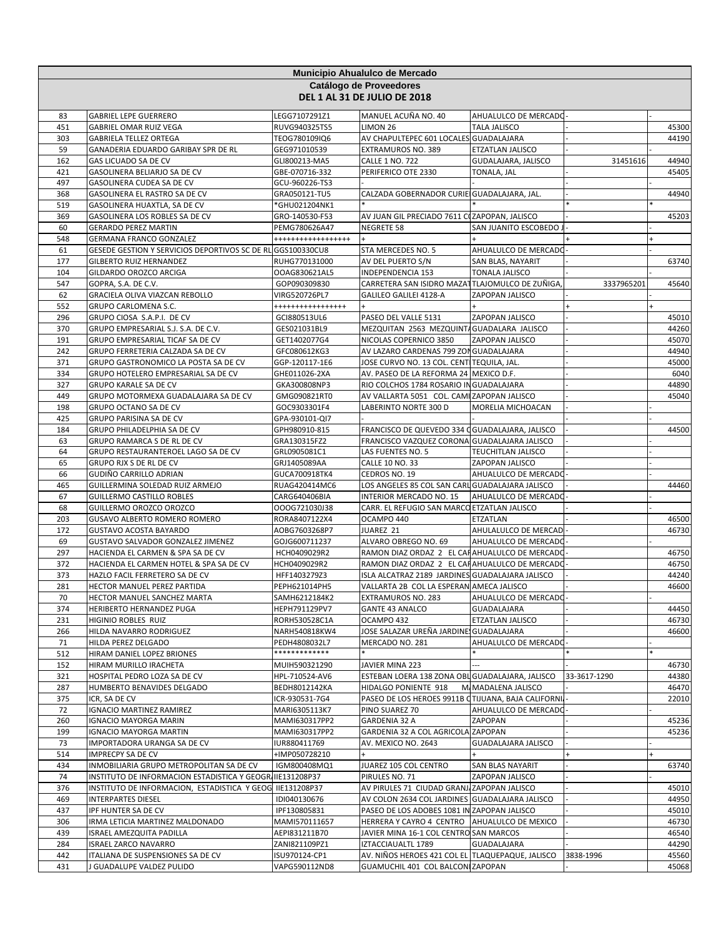|            | Municipio Ahualulco de Mercado<br>Catálogo de Proveedores<br><b>DEL 1 AL 31 DE JULIO DE 2018</b> |                                 |                                                                                     |                                  |              |                |  |
|------------|--------------------------------------------------------------------------------------------------|---------------------------------|-------------------------------------------------------------------------------------|----------------------------------|--------------|----------------|--|
|            |                                                                                                  |                                 |                                                                                     |                                  |              |                |  |
| 83         | <b>GABRIEL LEPE GUERRERO</b>                                                                     | LEGG7107291Z1                   | MANUEL ACUÑA NO. 40                                                                 | AHUALULCO DE MERCADO             |              |                |  |
| 451        | <b>GABRIEL OMAR RUIZ VEGA</b>                                                                    | RUVG940325TS5                   | LIMON 26                                                                            | <b>TALA JALISCO</b>              |              | 45300          |  |
| 303        | <b>GABRIELA TELLEZ ORTEGA</b>                                                                    | TEOG780109IQ6                   | AV CHAPULTEPEC 601 LOCALES GUADALAJARA                                              |                                  |              | 44190          |  |
| 59         | GANADERIA EDUARDO GARIBAY SPR DE RL                                                              | GEG971010539                    | <b>EXTRAMUROS NO. 389</b>                                                           | <b>ETZATLAN JALISCO</b>          |              |                |  |
| 162        | GAS LICUADO SA DE CV                                                                             | GLI800213-MA5                   | <b>CALLE 1 NO. 722</b>                                                              | GUDALAJARA, JALISCO              | 31451616     | 44940          |  |
| 421        | GASOLINERA BELIARJO SA DE CV<br>GASOLINERA CUDEA SA DE CV                                        | GBE-070716-332                  | PERIFERICO OTE 2330                                                                 | TONALA, JAL                      |              | 45405          |  |
| 497<br>368 | GASOLINERA EL RASTRO SA DE CV                                                                    | GCU-960226-TS3<br>GRA050121-TU5 | CALZADA GOBERNADOR CURIE GUADALAJARA, JAL.                                          |                                  |              | 44940          |  |
| 519        | GASOLINERA HUAXTLA, SA DE CV                                                                     | *GHU021204NK1                   |                                                                                     |                                  |              |                |  |
| 369        | GASOLINERA LOS ROBLES SA DE CV                                                                   | GRO-140530-F53                  | AV JUAN GIL PRECIADO 7611 COZAPOPAN, JALISCO                                        |                                  |              | 45203          |  |
| 60         | <b>GERARDO PEREZ MARTIN</b>                                                                      | PEMG780626A47                   | NEGRETE 58                                                                          | SAN JUANITO ESCOBEDO.            |              |                |  |
| 548        | <b>GERMANA FRANCO GONZALEZ</b>                                                                   | ******************              |                                                                                     |                                  |              |                |  |
| 61         | GESEDE GESTION Y SERVICIOS DEPORTIVOS SC DE RL GGS100330CU8                                      |                                 | STA MERCEDES NO. 5                                                                  | AHUALULCO DE MERCADO             |              |                |  |
| 177        | GILBERTO RUIZ HERNANDEZ                                                                          | RUHG770131000                   | AV DEL PUERTO S/N                                                                   | SAN BLAS, NAYARIT                |              | 63740          |  |
| 104        | GILDARDO OROZCO ARCIGA                                                                           | OOAG830621AL5                   | INDEPENDENCIA 153                                                                   | TONALA JALISCO                   |              |                |  |
| 547        | GOPRA, S.A. DE C.V.                                                                              | GOP090309830                    | CARRETERA SAN ISIDRO MAZATTLAJOMULCO DE ZUÑIGA                                      |                                  | 3337965201   | 45640          |  |
| 62         | GRACIELA OLIVA VIAZCAN REBOLLO                                                                   | VIRG520726PL7                   | GALILEO GALILEI 4128-A                                                              | ZAPOPAN JALISCO                  |              |                |  |
| 552        | <b>GRUPO CARLOMENA S.C.</b>                                                                      | *****************               |                                                                                     |                                  |              |                |  |
| 296        | GRUPO CIOSA S.A.P.I. DE CV                                                                       | GCI880513UL6                    | PASEO DEL VALLE 5131                                                                | ZAPOPAN JALISCO                  |              | 45010          |  |
| 370        | GRUPO EMPRESARIAL S.J. S.A. DE C.V.                                                              | GES021031BL9                    | MEZQUITAN 2563 MEZQUINTA GUADALARA JALISCO                                          |                                  |              | 44260          |  |
| 191        | GRUPO EMPRESARIAL TICAF SA DE CV                                                                 | GET1402077G4                    | NICOLAS COPERNICO 3850                                                              | ZAPOPAN JALISCO                  |              | 45070          |  |
| 242<br>371 | GRUPO FERRETERIA CALZADA SA DE CV<br>GRUPO GASTRONOMICO LA POSTA SA DE CV                        | GFC080612KG3<br>GGP-120117-1E6  | AV LAZARO CARDENAS 799 ZON GUADALAJARA<br>JOSE CURVO NO. 13 COL. CENTITEQUILA, JAL. |                                  |              | 44940<br>45000 |  |
| 334        | GRUPO HOTELERO EMPRESARIAL SA DE CV                                                              | GHE011026-2XA                   | AV. PASEO DE LA REFORMA 24 MEXICO D.F.                                              |                                  |              | 6040           |  |
| 327        | <b>GRUPO KARALE SA DE CV</b>                                                                     | GKA300808NP3                    | RIO COLCHOS 1784 ROSARIO IN GUADALAJARA                                             |                                  |              | 44890          |  |
| 449        | GRUPO MOTORMEXA GUADALAJARA SA DE CV                                                             | GMG090821RT0                    | AV VALLARTA 5051 COL. CAMI ZAPOPAN JALISCO                                          |                                  |              | 45040          |  |
| 198        | <b>GRUPO OCTANO SA DE CV</b>                                                                     | GOC9303301F4                    | LABERINTO NORTE 300 D                                                               | MORELIA MICHOACAN                |              |                |  |
| 425        | GRUPO PARISINA SA DE CV                                                                          | GPA-930101-QI7                  |                                                                                     |                                  |              |                |  |
| 184        | GRUPO PHILADELPHIA SA DE CV                                                                      | GPH980910-815                   | FRANCISCO DE QUEVEDO 334 OGUADALAJARA, JALISCO                                      |                                  |              | 44500          |  |
| 63         | GRUPO RAMARCA S DE RL DE CV                                                                      | GRA130315FZ2                    | FRANCISCO VAZQUEZ CORONA GUADALAJARA JALISCO                                        |                                  |              |                |  |
| 64         | GRUPO RESTAURANTEROEL LAGO SA DE CV                                                              | GRL0905081C1                    | LAS FUENTES NO. 5                                                                   | TEUCHITLAN JALISCO               |              |                |  |
| 65         | GRUPO RJX S DE RL DE CV                                                                          | GRJ1405089AA                    | CALLE 10 NO. 33                                                                     | ZAPOPAN JALISCO                  |              |                |  |
| 66         | GUDIÑO CARRILLO ADRIAN                                                                           | GUCA700918TK4                   | CEDROS NO. 19                                                                       | AHUALULCO DE MERCADO             |              |                |  |
| 465        | GUILLERMINA SOLEDAD RUIZ ARMEJO                                                                  | RUAG420414MC6                   | LOS ANGELES 85 COL SAN CARL GUADALAJARA JALISCO                                     |                                  |              | 44460          |  |
| 67         | <b>GUILLERMO CASTILLO ROBLES</b>                                                                 | CARG640406BIA                   | INTERIOR MERCADO NO. 15                                                             | AHUALULCO DE MERCADO             |              |                |  |
| 68         | GUILLERMO OROZCO OROZCO                                                                          | OOOG721030J38                   | CARR. EL REFUGIO SAN MARCO ETZATLAN JALISCO                                         |                                  |              |                |  |
| 203<br>172 | <b>GUSAVO ALBERTO ROMERO ROMERO</b><br><b>GUSTAVO ACOSTA BAYARDO</b>                             | RORA8407122X4<br>AOBG7603268P7  | OCAMPO 440<br>JUAREZ 21                                                             | ETZATLAN<br>AHULALULCO DE MERCAD |              | 46500<br>46730 |  |
| 69         | GUSTAVO SALVADOR GONZALEZ JIMENEZ                                                                | GOJG600711237                   | ALVARO OBREGO NO. 69                                                                | AHUALULCO DE MERCADO             |              |                |  |
| 297        | HACIENDA EL CARMEN & SPA SA DE CV                                                                | HCH0409029R2                    | RAMON DIAZ ORDAZ 2 EL CAHAHUALULCO DE MERCADO                                       |                                  |              | 46750          |  |
| 372        | HACIENDA EL CARMEN HOTEL & SPA SA DE CV                                                          | HCH0409029R2                    | RAMON DIAZ ORDAZ 2 EL CAHAHUALULCO DE MERCADO                                       |                                  |              | 46750          |  |
| 373        | HAZLO FACIL FERRETERO SA DE CV                                                                   | HFF1403279Z3                    | ISLA ALCATRAZ 2189 JARDINES GUADALAJARA JALISCO                                     |                                  |              | 44240          |  |
| 281        | HECTOR MANUEL PEREZ PARTIDA                                                                      | PEPH621014PH5                   | VALLARTA 2B COL LA ESPERAN AMECA JALISCO                                            |                                  |              | 46600          |  |
| 70         | HECTOR MANUEL SANCHEZ MARTA                                                                      | SAMH6212184K2                   | EXTRAMUROS NO. 283                                                                  | AHUALULCO DE MERCADO-            |              |                |  |
| 374        | <b>HERIBERTO HERNANDEZ PUGA</b>                                                                  | HEPH791129PV7                   | <b>GANTE 43 ANALCO</b>                                                              | GUADALAJARA                      |              | 44450          |  |
| 231        | <b>HIGINIO ROBLES RUIZ</b>                                                                       | RORH530528C1A                   | OCAMPO 432                                                                          | ETZATLAN JALISCO                 |              | 46730          |  |
| 266        | HILDA NAVARRO RODRIGUEZ                                                                          | NARH540818KW4                   | JOSE SALAZAR UREÑA JARDINE GUADALAJARA                                              |                                  |              | 46600          |  |
| 71         | HILDA PEREZ DELGADO                                                                              | PEDH4808032L7                   | MERCADO NO. 281                                                                     | AHUALULCO DE MERCADO             |              |                |  |
| 512        | HIRAM DANIEL LOPEZ BRIONES                                                                       | *************                   |                                                                                     |                                  |              |                |  |
| 152        | HIRAM MURILLO IRACHETA                                                                           | MUIH590321290                   | JAVIER MINA 223                                                                     |                                  |              | 46730          |  |
| 321<br>287 | HOSPITAL PEDRO LOZA SA DE CV<br><b>HUMBERTO BENAVIDES DELGADO</b>                                | HPL-710524-AV6<br>BEDH8012142KA | ESTEBAN LOERA 138 ZONA OBL GUADALAJARA, JALISCO<br>HIDALGO PONIENTE 918             | M. MADALENA JALISCO              | 33-3617-1290 | 44380<br>46470 |  |
| 375        | ICR, SA DE CV                                                                                    | ICR-930531-7G4                  | PASEO DE LOS HEROES 9911B CTIJUANA, BAJA CALIFORNIJ                                 |                                  |              | 22010          |  |
| 72         | <b>IGNACIO MARTINEZ RAMIREZ</b>                                                                  | MARI6305113K7                   | PINO SUAREZ 70                                                                      | AHUALULCO DE MERCADO             |              |                |  |
| 260        | <b>IGNACIO MAYORGA MARIN</b>                                                                     | MAMI630317PP2                   | GARDENIA 32 A                                                                       | ZAPOPAN                          |              | 45236          |  |
| 199        | <b>IGNACIO MAYORGA MARTIN</b>                                                                    | MAMI630317PP2                   | GARDENIA 32 A COL AGRICOLA ZAPOPAN                                                  |                                  |              | 45236          |  |
| 73         | IMPORTADORA URANGA SA DE CV                                                                      | IUR880411769                    | AV. MEXICO NO. 2643                                                                 | GUADALAJARA JALISCO              |              |                |  |
| 514        | <b>IMPRECPY SA DE CV</b>                                                                         | +IMP050728210                   |                                                                                     |                                  |              |                |  |
| 434        | INMOBILIARIA GRUPO METROPOLITAN SA DE CV                                                         | IGM800408MQ1                    | JUAREZ 105 COL CENTRO                                                               | SAN BLAS NAYARIT                 |              | 63740          |  |
| 74         | INSTITUTO DE INFORMACION ESTADISTICA Y GEOGRI IIE131208P37                                       |                                 | PIRULES NO. 71                                                                      | ZAPOPAN JALISCO                  |              |                |  |
| 376        | INSTITUTO DE INFORMACION, ESTADISTICA Y GEOG                                                     | IIE131208P37                    | AV PIRULES 71 CIUDAD GRANJ ZAPOPAN JALISCO                                          |                                  |              | 45010          |  |
| 469        | <b>INTERPARTES DIESEL</b>                                                                        | IDI040130676                    | AV COLON 2634 COL JARDINES GUADALAJARA JALISCO                                      |                                  |              | 44950          |  |
| 437        | IPF HUNTER SA DE CV                                                                              | IPF130805831                    | PASEO DE LOS ADOBES 1081 IN ZAPOPAN JALISCO                                         |                                  |              | 45010          |  |
| 306        | IRMA LETICIA MARTINEZ MALDONADO                                                                  | MAMI570111657                   | HERRERA Y CAYRO 4 CENTRO AHUALULCO DE MEXICO                                        |                                  |              | 46730          |  |
| 439        | ISRAEL AMEZQUITA PADILLA                                                                         | AEPI831211B70                   | JAVIER MINA 16-1 COL CENTRO SAN MARCOS                                              |                                  |              | 46540          |  |
| 284        | <b>ISRAEL ZARCO NAVARRO</b>                                                                      | ZANI821109PZ1                   | IZTACCIAUALTL 1789                                                                  | GUADALAJARA                      |              | 44290          |  |
| 442        | ITALIANA DE SUSPENSIONES SA DE CV                                                                | ISU970124-CP1                   | AV. NIÑOS HEROES 421 COL EL TLAQUEPAQUE, JALISCO                                    |                                  | 3838-1996    | 45560          |  |
| 431        | J GUADALUPE VALDEZ PULIDO                                                                        | VAPG590112ND8                   | GUAMUCHIL 401 COL BALCON ZAPOPAN                                                    |                                  |              | 45068          |  |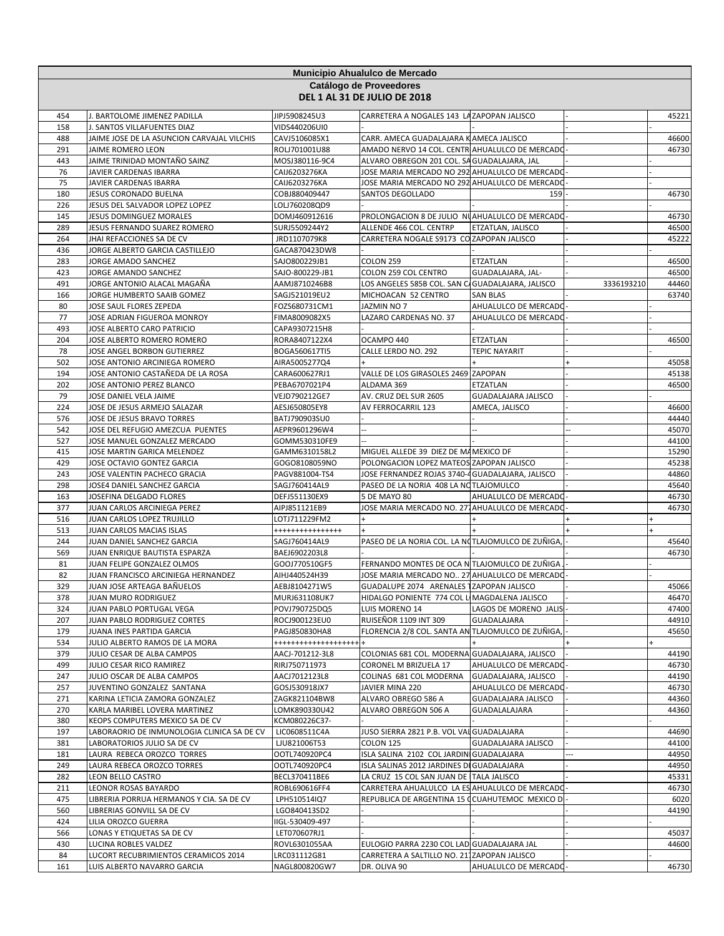|            | Municipio Ahualulco de Mercado                                   |                                       |                                                                                           |                                              |            |                |  |
|------------|------------------------------------------------------------------|---------------------------------------|-------------------------------------------------------------------------------------------|----------------------------------------------|------------|----------------|--|
|            |                                                                  |                                       | Catálogo de Proveedores                                                                   |                                              |            |                |  |
|            |                                                                  |                                       | <b>DEL 1 AL 31 DE JULIO DE 2018</b>                                                       |                                              |            |                |  |
| 454        | J. BARTOLOME JIMENEZ PADILLA                                     | JIPJ5908245U3                         | CARRETERA A NOGALES 143 LA ZAPOPAN JALISCO                                                |                                              |            | 45221          |  |
| 158        | J. SANTOS VILLAFUENTES DIAZ                                      | VIDS440206UI0                         |                                                                                           |                                              |            |                |  |
| 488        | JAIME JOSE DE LA ASUNCION CARVAJAL VILCHIS                       | CAVJ5106085X1                         | CARR. AMECA GUADALAJARA KAMECA JALISCO                                                    |                                              |            | 46600          |  |
| 291        | JAIME ROMERO LEON                                                | ROLJ701001U88                         | AMADO NERVO 14 COL. CENTR AHUALULCO DE MERCADO                                            |                                              |            | 46730          |  |
| 443        | JAIME TRINIDAD MONTAÑO SAINZ                                     | MOSJ380116-9C4                        | ALVARO OBREGON 201 COL. SA GUADALAJARA, JAL                                               |                                              |            |                |  |
| 76         | JAVIER CARDENAS IBARRA                                           | CAIJ6203276KA                         | JOSE MARIA MERCADO NO 292 AHUALULCO DE MERCADO                                            |                                              |            |                |  |
| 75         | JAVIER CARDENAS IBARRA                                           | CAIJ6203276KA                         | JOSE MARIA MERCADO NO 292 AHUALULCO DE MERCADO                                            |                                              |            |                |  |
| 180<br>226 | JESUS CORONADO BUELNA<br>JESUS DEL SALVADOR LOPEZ LOPEZ          | COBJ880409447<br>LOLJ760208QD9        | SANTOS DEGOLLADO                                                                          | 159                                          |            | 46730          |  |
| 145        | JESUS DOMINGUEZ MORALES                                          | DOMJ460912616                         | PROLONGACION 8 DE JULIO NUAHUALULCO DE MERCADO                                            |                                              |            | 46730          |  |
| 289        | JESUS FERNANDO SUAREZ ROMERO                                     | SURJ5509244Y2                         | ALLENDE 466 COL. CENTRP                                                                   | ETZATLAN, JALISCO                            |            | 46500          |  |
| 264        | JHAI REFACCIONES SA DE CV                                        | JRD1107079K8                          | CARRETERA NOGALE S9173 CO ZAPOPAN JALISCO                                                 |                                              |            | 45222          |  |
| 436        | JORGE ALBERTO GARCIA CASTILLEJO                                  | GACA870423DW8                         |                                                                                           |                                              |            |                |  |
| 283        | JORGE AMADO SANCHEZ                                              | SAJO800229JB1                         | COLON 259                                                                                 | ETZATLAN                                     |            | 46500          |  |
| 423        | JORGE AMANDO SANCHEZ                                             | SAJO-800229-JB1                       | COLON 259 COL CENTRO                                                                      | GUADALAJARA, JAL-                            |            | 46500          |  |
| 491        | JORGE ANTONIO ALACAL MAGAÑA                                      | AAMJ8710246B8                         | LOS ANGELES 585B COL. SAN C                                                               | GUADALAJARA, JALISCO                         | 3336193210 | 44460          |  |
| 166        | JORGE HUMBERTO SAAIB GOMEZ                                       | SAGJ521019EU2                         | MICHOACAN 52 CENTRO                                                                       | <b>SAN BLAS</b>                              |            | 63740          |  |
| 80<br>77   | JOSE SAUL FLORES ZEPEDA<br>JOSE ADRIAN FIGUEROA MONROY           | FOZS680731CM1<br>FIMA8009082X5        | JAZMIN NO 7<br>LAZARO CARDENAS NO. 37                                                     | AHUALULCO DE MERCADO<br>AHUALULCO DE MERCADO |            |                |  |
| 493        | JOSE ALBERTO CARO PATRICIO                                       | CAPA9307215H8                         |                                                                                           |                                              |            |                |  |
| 204        | JOSE ALBERTO ROMERO ROMERO                                       | RORA8407122X4                         | OCAMPO 440                                                                                | ETZATLAN                                     |            | 46500          |  |
| 78         | JOSE ANGEL BORBON GUTIERREZ                                      | BOGA560617TI5                         | CALLE LERDO NO. 292                                                                       | <b>TEPIC NAYARIT</b>                         |            |                |  |
| 502        | JOSE ANTONIO ARCINIEGA ROMERO                                    | AIRA5005277Q4                         |                                                                                           |                                              |            | 45058          |  |
| 194        | JOSE ANTONIO CASTAÑEDA DE LA ROSA                                | CARA600627RJ1                         | VALLE DE LOS GIRASOLES 2469 ZAPOPAN                                                       |                                              |            | 45138          |  |
| 202        | JOSE ANTONIO PEREZ BLANCO                                        | PEBA6707021P4                         | ALDAMA 369                                                                                | ETZATLAN                                     |            | 46500          |  |
| 79         | JOSE DANIEL VELA JAIME                                           | VEJD790212GE7                         | AV. CRUZ DEL SUR 2605                                                                     | GUADALAJARA JALISCO                          |            |                |  |
| 224        | JOSE DE JESUS ARMEJO SALAZAR                                     | AESJ650805EY8                         | AV FERROCARRIL 123                                                                        | AMECA, JALISCO                               |            | 46600          |  |
| 576        | JOSE DE JESUS BRAVO TORRES                                       | BATJ790903SU0                         |                                                                                           |                                              |            | 44440          |  |
| 542<br>527 | JOSE DEL REFUGIO AMEZCUA PUENTES<br>JOSE MANUEL GONZALEZ MERCADO | AEPR9601296W4<br>GOMM530310FE9        |                                                                                           |                                              |            | 45070<br>44100 |  |
| 415        | JOSE MARTIN GARICA MELENDEZ                                      | GAMM6310158L2                         | MIGUEL ALLEDE 39 DIEZ DE MA MEXICO DF                                                     |                                              |            | 15290          |  |
| 429        | JOSE OCTAVIO GONTEZ GARCIA                                       | GOGO8108059NO                         | POLONGACION LOPEZ MATEOS ZAPOPAN JALISCO                                                  |                                              |            | 45238          |  |
| 243        | JOSE VALENTIN PACHECO GRACIA                                     | PAGV881004-TS4                        | JOSE FERNANDEZ ROJAS 3740-4 GUADALAJARA, JALISCO                                          |                                              |            | 44860          |  |
| 298        | JOSE4 DANIEL SANCHEZ GARCIA                                      | SAGJ760414AL9                         | PASEO DE LA NORIA 408 LA NOTLAJOMULCO                                                     |                                              |            | 45640          |  |
| 163        | JOSEFINA DELGADO FLORES                                          | DEFJ551130EX9                         | 5 DE MAYO 80                                                                              | AHUALULCO DE MERCADO                         |            | 46730          |  |
| 377        | JUAN CARLOS ARCINIEGA PEREZ                                      | AIPJ851121EB9                         | JOSE MARIA MERCADO NO. 271 AHUALULCO DE MERCADO                                           |                                              |            | 46730          |  |
| 516        | JUAN CARLOS LOPEZ TRUJILLO                                       | LOTJ711229FM2                         |                                                                                           |                                              |            |                |  |
| 513<br>244 | JUAN CARLOS MACIAS ISLAS                                         | ****************<br>SAGJ760414AL9     | PASEO DE LA NORIA COL. LA NOTLAJOMULCO DE ZUÑIGA                                          |                                              |            | $+$            |  |
| 569        | JUAN DANIEL SANCHEZ GARCIA<br>JUAN ENRIQUE BAUTISTA ESPARZA      | BAEJ6902203L8                         |                                                                                           |                                              |            | 45640<br>46730 |  |
| 81         | JUAN FELIPE GONZALEZ OLMOS                                       | GOOJ770510GF5                         | FERNANDO MONTES DE OCA N TLAJOMULCO DE ZUÑIGA                                             |                                              |            |                |  |
| 82         | JUAN FRANCISCO ARCINIEGA HERNANDEZ                               | AIHJ440524H39                         | JOSE MARIA MERCADO NO 27 AHUALULCO DE MERCADO                                             |                                              |            |                |  |
| 329        | JUAN JOSE ARTEAGA BAÑUELOS                                       | AEBJ8104271W5                         | GUADALUPE 2074 ARENALES 1ZAPOPAN JALISCO                                                  |                                              |            | 45066          |  |
| 378        | JUAN MURO RODRIGUEZ                                              | MURJ631108UK7                         | HIDALGO PONIENTE 774 COL LI MAGDALENA JALISCO                                             |                                              |            | 46470          |  |
| 324        | JUAN PABLO PORTUGAL VEGA                                         | POVJ790725DQ5                         | LUIS MORENO 14                                                                            | LAGOS DE MORENO JALIS                        |            | 47400          |  |
| 207        | JUAN PABLO RODRIGUEZ CORTES                                      | ROCJ900123EU0                         | <b>RUISEÑOR 1109 INT 309</b>                                                              | GUADALAJARA                                  |            | 44910          |  |
| 179<br>534 | JUANA INES PARTIDA GARCIA<br>JULIO ALBERTO RAMOS DE LA MORA      | PAGJ850830HA8<br>******************** | FLORENCIA 2/8 COL. SANTA AN TLAJOMULCO DE ZUÑIGA,                                         |                                              |            | 45650          |  |
| 379        | JULIO CESAR DE ALBA CAMPOS                                       | AACJ-701212-3L8                       | COLONIAS 681 COL. MODERNA GUADALAJARA, JALISCO                                            |                                              |            | 44190          |  |
| 499        | JULIO CESAR RICO RAMIREZ                                         | RIRJ750711973                         | CORONEL M BRIZUELA 17                                                                     | AHUALULCO DE MERCADO-                        |            | 46730          |  |
| 247        | JULIO OSCAR DE ALBA CAMPOS                                       | AACJ7012123L8                         | COLINAS 681 COL MODERNA                                                                   | GUADALAJARA, JALISCO                         |            | 44190          |  |
| 257        | JUVENTINO GONZALEZ SANTANA                                       | GOSJ530918JX7                         | JAVIER MINA 220                                                                           | AHUALULCO DE MERCADO                         |            | 46730          |  |
| 271        | KARINA LETICIA ZAMORA GONZALEZ                                   | ZAGK821104BW8                         | ALVARO OBREGO 586 A                                                                       | GUADALAJARA JALISCO                          |            | 44360          |  |
| 270        | KARLA MARIBEL LOVERA MARTINEZ                                    | LOMK890330U42                         | ALVARO OBREGON 506 A                                                                      | GUADALALAJARA                                |            | 44360          |  |
| 380        | KEOPS COMPUTERS MEXICO SA DE CV                                  | KCM080226C37-                         |                                                                                           |                                              |            |                |  |
| 197        | LABORAORIO DE INMUNOLOGIA CLINICA SA DE CV                       | LIC0608511C4A<br>LJU821006T53         | JUSO SIERRA 2821 P.B. VOL VALGUADALAJARA                                                  |                                              |            | 44690          |  |
| 381<br>181 | LABORATORIOS JULIO SA DE CV<br>LAURA REBECA OROZCO TORRES        | OOTL740920PC4                         | COLON 125<br>ISLA SALINA 2102 COL JARDINI GUADALAJARA                                     | <b>GUADALAJARA JALISCO</b>                   |            | 44100<br>44950 |  |
| 249        | LAURA REBECA OROZCO TORRES                                       | OOTL740920PC4                         | ISLA SALINAS 2012 JARDINES DI GUADALAJARA                                                 |                                              |            | 44950          |  |
| 282        | LEON BELLO CASTRO                                                | BECL370411BE6                         | LA CRUZ 15 COL SAN JUAN DE TALA JALISCO                                                   |                                              |            | 45331          |  |
| 211        | <b>LEONOR ROSAS BAYARDO</b>                                      | ROBL690616FF4                         | CARRETERA AHUALULCO LA ES AHUALULCO DE MERCADO                                            |                                              |            | 46730          |  |
| 475        | LIBRERIA PORRUA HERMANOS Y CIA. SA DE CV                         | LPH510514IQ7                          | REPUBLICA DE ARGENTINA 15 CCUAHUTEMOC MEXICO D -                                          |                                              |            | 6020           |  |
| 560        | LIBRERIAS GONVILL SA DE CV                                       | LGO840413SD2                          |                                                                                           |                                              |            | 44190          |  |
| 424        | LILIA OROZCO GUERRA                                              | IIGL-530409-497                       |                                                                                           |                                              |            |                |  |
| 566        | LONAS Y ETIQUETAS SA DE CV                                       | LET070607RJ1                          |                                                                                           |                                              |            | 45037          |  |
| 430<br>84  | LUCINA ROBLES VALDEZ<br>LUCORT RECUBRIMIENTOS CERAMICOS 2014     | ROVL6301055AA<br>LRC031112G81         | EULOGIO PARRA 2230 COL LAD GUADALAJARA JAL<br>CARRETERA A SALTILLO NO. 211ZAPOPAN JALISCO |                                              |            | 44600          |  |
| 161        | LUIS ALBERTO NAVARRO GARCIA                                      | NAGL800820GW7                         | DR. OLIVA 90                                                                              | AHUALULCO DE MERCADO-                        |            | 46730          |  |
|            |                                                                  |                                       |                                                                                           |                                              |            |                |  |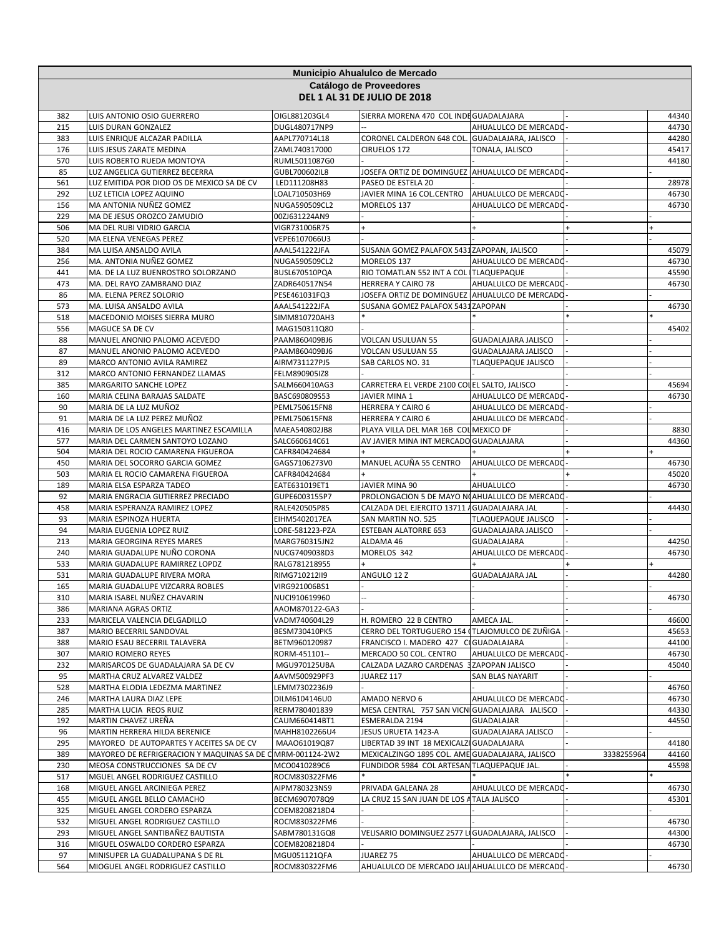| Municipio Ahualulco de Mercado |                                                                        |                                 |                                                                   |                            |            |                |
|--------------------------------|------------------------------------------------------------------------|---------------------------------|-------------------------------------------------------------------|----------------------------|------------|----------------|
|                                |                                                                        |                                 | Catálogo de Proveedores                                           |                            |            |                |
|                                |                                                                        |                                 | <b>DEL 1 AL 31 DE JULIO DE 2018</b>                               |                            |            |                |
| 382                            | LUIS ANTONIO OSIO GUERRERO                                             | OIGL881203GL4                   | SIERRA MORENA 470 COL INDEGUADALAJARA                             |                            |            | 44340          |
| 215                            | LUIS DURAN GONZALEZ                                                    | DUGL480717NP9                   |                                                                   | AHUALULCO DE MERCADO       |            | 44730          |
| 383                            | LUIS ENRIQUE ALCAZAR PADILLA                                           | AAPL770714L18                   | CORONEL CALDERON 648 COL. GUADALAJARA, JALISCO                    |                            |            | 44280          |
| 176<br>570                     | LUIS JESUS ZARATE MEDINA<br>LUIS ROBERTO RUEDA MONTOYA                 | ZAML740317000<br>RUML5011087G0  | CIRUELOS 172                                                      | TONALA, JALISCO            |            | 45417<br>44180 |
| 85                             | LUZ ANGELICA GUTIERREZ BECERRA                                         | GUBL700602IL8                   | JOSEFA ORTIZ DE DOMINGUEZ AHUALULCO DE MERCADO                    |                            |            |                |
| 561                            | LUZ EMITIDA POR DIOD OS DE MEXICO SA DE CV                             | LED111208H83                    | PASEO DE ESTELA 20                                                |                            |            | 28978          |
| 292                            | LUZ LETICIA LOPEZ AQUINO                                               | LOAL710503H69                   | JAVIER MINA 16 COL.CENTRO                                         | AHUALULCO DE MERCADO       |            | 46730          |
| 156                            | MA ANTONIA NUÑEZ GOMEZ                                                 | NUGA590509CL2                   | MORELOS 137                                                       | AHUALULCO DE MERCADO       |            | 46730          |
| 229                            | MA DE JESUS OROZCO ZAMUDIO                                             | 00ZJ631224AN9                   |                                                                   |                            |            |                |
| 506                            | MA DEL RUBI VIDRIO GARCIA                                              | VIGR731006R75                   |                                                                   |                            |            |                |
| 520<br>384                     | MA ELENA VENEGAS PEREZ<br>MA LUISA ANSALDO AVILA                       | VEPE6107066U3<br>AAAL541222JFA  | SUSANA GOMEZ PALAFOX 5431 ZAPOPAN, JALISCO                        |                            |            | 45079          |
| 256                            | MA. ANTONIA NUÑEZ GOMEZ                                                | NUGA590509CL2                   | MORELOS 137                                                       | AHUALULCO DE MERCADO       |            | 46730          |
| 441                            | MA. DE LA LUZ BUENROSTRO SOLORZANO                                     | BUSL670510PQA                   | RIO TOMATLAN 552 INT A COL TLAQUEPAQUE                            |                            |            | 45590          |
| 473                            | MA. DEL RAYO ZAMBRANO DIAZ                                             | ZADR640517N54                   | HERRERA Y CAIRO 78                                                | AHUALULCO DE MERCADO       |            | 46730          |
| 86                             | MA. ELENA PEREZ SOLORIO                                                | PESE461031FQ3                   | JOSEFA ORTIZ DE DOMINGUEZ AHUALULCO DE MERCADO                    |                            |            |                |
| 573                            | MA. LUISA ANSALDO AVILA                                                | AAAL541222JFA                   | SUSANA GOMEZ PALAFOX 5431 ZAPOPAN                                 |                            |            | 46730          |
| 518                            | MACEDONIO MOISES SIERRA MURO                                           | SIMM810720AH3                   |                                                                   |                            |            |                |
| 556<br>88                      | MAGUCE SA DE CV<br>MANUEL ANONIO PALOMO ACEVEDO                        | MAG150311Q80<br>PAAM860409BJ6   | <b>VOLCAN USULUAN 55</b>                                          | <b>GUADALAJARA JALISCO</b> |            | 45402          |
| 87                             | MANUEL ANONIO PALOMO ACEVEDO                                           | PAAM860409BJ6                   | <b>VOLCAN USULUAN 55</b>                                          | <b>GUADALAJARA JALISCO</b> |            |                |
| 89                             | MARCO ANTONIO AVILA RAMIREZ                                            | AIRM731127PJ5                   | SAB CARLOS NO. 31                                                 | TLAQUEPAQUE JALISCO        |            |                |
| 312                            | MARCO ANTONIO FERNANDEZ LLAMAS                                         | FELM890905IZ8                   |                                                                   |                            |            |                |
| 385                            | MARGARITO SANCHE LOPEZ                                                 | SALM660410AG3                   | CARRETERA EL VERDE 2100 COLEL SALTO, JALISCO                      |                            |            | 45694          |
| 160                            | MARIA CELINA BARAJAS SALDATE                                           | BASC690809S53                   | JAVIER MINA 1                                                     | AHUALULCO DE MERCADO       |            | 46730          |
| 90                             | MARIA DE LA LUZ MUÑOZ                                                  | PEML750615FN8                   | HERRERA Y CAIRO 6                                                 | AHUALULCO DE MERCADO       |            |                |
| 91<br>416                      | MARIA DE LA LUZ PEREZ MUÑOZ<br>MARIA DE LOS ANGELES MARTINEZ ESCAMILLA | PEML750615FN8                   | HERRERA Y CAIRO 6<br>PLAYA VILLA DEL MAR 16B COL MEXICO DF        | AHUALULCO DE MERCADO       |            | 8830           |
| 577                            | MARIA DEL CARMEN SANTOYO LOZANO                                        | MAEA540802JB8<br>SALC660614C61  | AV JAVIER MINA INT MERCADO GUADALAJARA                            |                            |            | 44360          |
| 504                            | MARIA DEL ROCIO CAMARENA FIGUEROA                                      | CAFR840424684                   |                                                                   |                            |            |                |
| 450                            | MARIA DEL SOCORRO GARCIA GOMEZ                                         | GAGS7106273V0                   | MANUEL ACUÑA 55 CENTRO                                            | AHUALULCO DE MERCADO       |            | 46730          |
| 503                            | MARIA EL ROCIO CAMARENA FIGUEROA                                       | CAFR840424684                   |                                                                   |                            |            | 45020          |
| 189                            | MARIA ELSA ESPARZA TADEO                                               | EATE631019ET1                   | JAVIER MINA 90                                                    | AHUALULCO                  |            | 46730          |
| 92                             | MARIA ENGRACIA GUTIERREZ PRECIADO                                      | GUPE6003155P7                   | PROLONGACION 5 DE MAYO NI AHUALULCO DE MERCADO                    |                            |            |                |
| 458<br>93                      | MARIA ESPERANZA RAMIREZ LOPEZ<br>MARIA ESPINOZA HUERTA                 | RALE420505P85<br>EIHM5402017EA  | CALZADA DEL EJERCITO 13711 AGUADALAJARA JAL<br>SAN MARTIN NO. 525 | <b>TLAQUEPAQUE JALISCO</b> |            | 44430          |
| 94                             | MARIA EUGENIA LOPEZ RUIZ                                               | LORE-581223-PZA                 | <b>ESTEBAN ALATORRE 653</b>                                       | GUADALAJARA JALISCO        |            |                |
| 213                            | MARIA GEORGINA REYES MARES                                             | MARG760315JN2                   | ALDAMA 46                                                         | GUADALAJARA                |            | 44250          |
| 240                            | MARIA GUADALUPE NUÑO CORONA                                            | NUCG7409038D3                   | MORELOS 342                                                       | AHUALULCO DE MERCADO       |            | 46730          |
| 533                            | MARIA GUADALUPE RAMIRREZ LOPDZ                                         | RALG781218955                   |                                                                   |                            |            |                |
| 531                            | MARIA GUADALUPE RIVERA MORA                                            | RIMG710212II9                   | ANGULO 12 Z                                                       | GUADALAJARA JAL            |            | 44280          |
| 165                            | MARIA GUADALUPE VIZCARRA ROBLES                                        | VIRG921006BS1                   |                                                                   |                            |            |                |
| 310<br>386                     | MARIA ISABEL NUÑEZ CHAVARIN<br>MARIANA AGRAS ORTIZ                     | NUCI910619960<br>AAOM870122-GA3 |                                                                   |                            |            | 46730          |
| 233                            | MARICELA VALENCIA DELGADILLO                                           | VADM740604L29                   | H. ROMERO 22 B CENTRO                                             | AMECA JAL.                 |            | 46600          |
| 387                            | MARIO BECERRIL SANDOVAL                                                | BESM730410PK5                   | CERRO DEL TORTUGUERO 154 (TLAJOMULCO DE ZUÑIGA                    |                            |            | 45653          |
| 388                            | MARIO ESAU BECERRIL TALAVERA                                           | BETM960120987                   | FRANCISCO I. MADERO 427 CIGUADALAJARA                             |                            |            | 44100          |
| 307                            | MARIO ROMERO REYES                                                     | RORM-451101--                   | MERCADO 50 COL. CENTRO                                            | AHUALULCO DE MERCADO       |            | 46730          |
| 232                            | MARISARCOS DE GUADALAJARA SA DE CV                                     | MGU970125UBA                    | CALZADA LAZARO CARDENAS 3ZAPOPAN JALISCO                          |                            |            | 45040          |
| 95                             | MARTHA CRUZ ALVAREZ VALDEZ                                             | AAVM500929PF3                   | JUAREZ 117                                                        | SAN BLAS NAYARIT           |            |                |
| 528<br>246                     | MARTHA ELODIA LEDEZMA MARTINEZ<br>MARTHA LAURA DIAZ LEPE               | LEMM7302236J9<br>DILM6104146U0  | AMADO NERVO 6                                                     | AHUALULCO DE MERCADO       |            | 46760<br>46730 |
| 285                            | MARTHA LUCIA REOS RUIZ                                                 | RERM780401839                   | MESA CENTRAL 757 SAN VICN GUADALAJARA JALISCO                     |                            |            | 44330          |
| 192                            | MARTIN CHAVEZ UREÑA                                                    | CAUM660414BT1                   | ESMERALDA 2194                                                    | <b>GUADALAJAR</b>          |            | 44550          |
| 96                             | MARTIN HERRERA HILDA BERENICE                                          | MAHH8102266U4                   | JESUS URUETA 1423-A                                               | <b>GUADALAJARA JALISCO</b> |            |                |
| 295                            | MAYOREO DE AUTOPARTES Y ACEITES SA DE CV                               | MAA061019Q87                    | LIBERTAD 39 INT 18 MEXICALZI GUADALAJARA                          |                            |            | 44180          |
| 389                            | MAYOREO DE REFRIGERACION Y MAQUINAS SA DE C MRM-001124-2W2             |                                 | MEXICALZINGO 1895 COL. AME GUADALAJARA, JALISCO                   |                            | 3338255964 | 44160          |
| 230                            | MEOSA CONSTRUCCIONES SA DE CV                                          | MCO0410289C6                    | FUNDIDOR 5984 COL ARTESAN TLAQUEPAQUE JAL.                        |                            |            | 45598          |
| 517<br>168                     | MGUEL ANGEL RODRIGUEZ CASTILLO<br>MIGUEL ANGEL ARCINIEGA PEREZ         | ROCM830322FM6<br>AIPM780323NS9  | PRIVADA GALEANA 28                                                | AHUALULCO DE MERCADO       |            | 46730          |
| 455                            | MIGUEL ANGEL BELLO CAMACHO                                             | BECM6907078Q9                   | LA CRUZ 15 SAN JUAN DE LOS A TALA JALISCO                         |                            |            | 45301          |
| 325                            | MIGUEL ANGEL CORDERO ESPARZA                                           | COEM8208218D4                   |                                                                   |                            |            |                |
| 532                            | MIGUEL ANGEL RODRIGUEZ CASTILLO                                        | ROCM830322FM6                   |                                                                   |                            |            | 46730          |
| 293                            | MIGUEL ANGEL SANTIBAÑEZ BAUTISTA                                       | SABM780131GQ8                   | VELISARIO DOMINGUEZ 2577 LI GUADALAJARA, JALISCO                  |                            |            | 44300          |
| 316                            | MIGUEL OSWALDO CORDERO ESPARZA                                         | COEM8208218D4                   |                                                                   |                            |            | 46730          |
| 97                             | MINISUPER LA GUADALUPANA S DE RL                                       | MGU051121QFA                    | JUAREZ 75                                                         | AHUALULCO DE MERCADO       |            |                |
| 564                            | MIOGUEL ANGEL RODRIGUEZ CASTILLO                                       | ROCM830322FM6                   | AHUALULCO DE MERCADO JALI AHUALULCO DE MERCADO                    |                            |            | 46730          |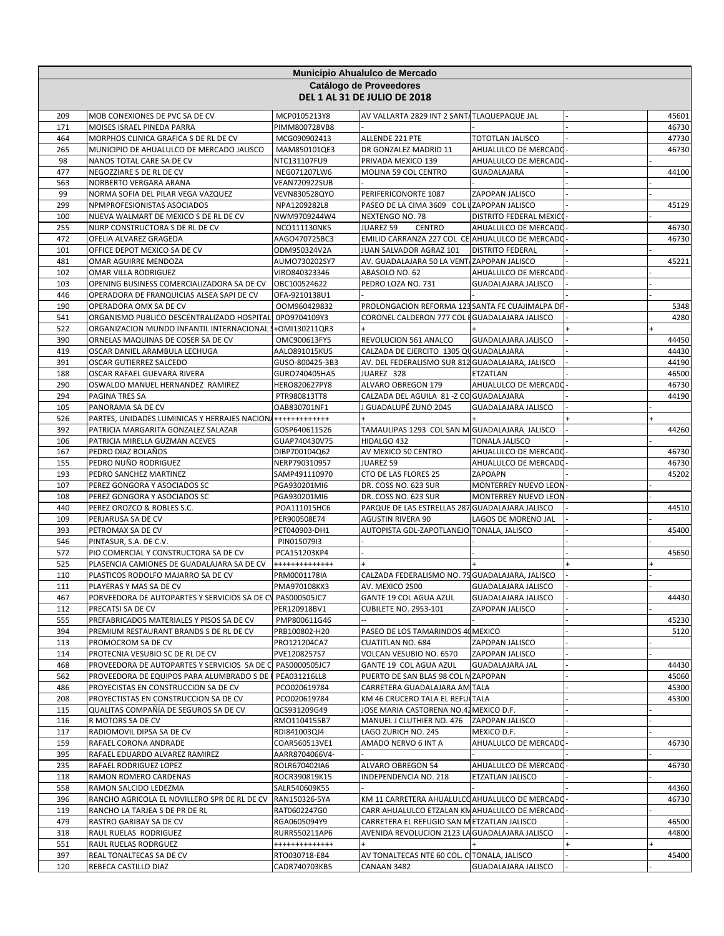|            |                                                                                                                     |                                | Municipio Ahualulco de Mercado                                                                   |                                     |  |                |  |  |
|------------|---------------------------------------------------------------------------------------------------------------------|--------------------------------|--------------------------------------------------------------------------------------------------|-------------------------------------|--|----------------|--|--|
|            | Catálogo de Proveedores                                                                                             |                                |                                                                                                  |                                     |  |                |  |  |
|            |                                                                                                                     |                                | <b>DEL 1 AL 31 DE JULIO DE 2018</b>                                                              |                                     |  |                |  |  |
| 209        | MOB CONEXIONES DE PVC SA DE CV                                                                                      | MCP0105213Y8                   | AV VALLARTA 2829 INT 2 SANT/TLAQUEPAQUE JAL                                                      |                                     |  | 45601          |  |  |
| 171        | MOISES ISRAEL PINEDA PARRA                                                                                          | PIMM800728VB8                  |                                                                                                  |                                     |  | 46730          |  |  |
| 464        | MORPHOS CLINICA GRAFICA S DE RL DE CV                                                                               | MCG090902413                   | ALLENDE 221 PTE                                                                                  | <b>TOTOTLAN JALISCO</b>             |  | 47730          |  |  |
| 265        | MUNICIPIO DE AHUALULCO DE MERCADO JALISCO                                                                           | MAM850101QE3                   | DR GONZALEZ MADRID 11                                                                            | AHUALULCO DE MERCADO                |  | 46730          |  |  |
| 98<br>477  | NANOS TOTAL CARE SA DE CV<br>NEGOZZIARE S DE RL DE CV                                                               | NTC131107FU9<br>NEG071207LW6   | PRIVADA MEXICO 139<br>MOLINA 59 COL CENTRO                                                       | AHUALULCO DE MERCADO<br>GUADALAJARA |  | 44100          |  |  |
| 563        | NORBERTO VERGARA ARANA                                                                                              | VEAN720922SUB                  |                                                                                                  |                                     |  |                |  |  |
| 99         | NORMA SOFIA DEL PILAR VEGA VAZQUEZ                                                                                  | VEVN830528QYO                  | PERIFERICONORTE 1087                                                                             | <b>ZAPOPAN JALISCO</b>              |  |                |  |  |
| 299        | NPMPROFESIONISTAS ASOCIADOS                                                                                         | NPA1209282L8                   | PASEO DE LA CIMA 3609 COL LZAPOPAN JALISCO                                                       |                                     |  | 45129          |  |  |
| 100        | NUEVA WALMART DE MEXICO S DE RL DE CV                                                                               | NWM9709244W4                   | NEXTENGO NO. 78                                                                                  | DISTRITO FEDERAL MEXICO             |  |                |  |  |
| 255<br>472 | NURP CONSTRUCTORA S DE RL DE CV<br>OFELIA ALVAREZ GRAGEDA                                                           | NCO111130NK5                   | JUAREZ 59<br><b>CENTRO</b><br>EMILIO CARRANZA 227 COL CE AHUALULCO DE MERCADO                    | AHUALULCO DE MERCADO                |  | 46730<br>46730 |  |  |
| 101        | OFFICE DEPOT MEXICO SA DE CV                                                                                        | AAGO470725BC3<br>ODM950324V2A  | JUAN SALVADOR AGRAZ 101                                                                          | <b>DISTRITO FEDERAL</b>             |  |                |  |  |
| 481        | OMAR AGUIRRE MENDOZA                                                                                                | AUMO730202SY7                  | AV. GUADALAJARA 50 LA VENT/ZAPOPAN JALISCO                                                       |                                     |  | 45221          |  |  |
| 102        | OMAR VILLA RODRIGUEZ                                                                                                | VIRO840323346                  | ABASOLO NO. 62                                                                                   | AHUALULCO DE MERCADO                |  |                |  |  |
| 103        | OPENING BUSINESS COMERCIALIZADORA SA DE CV                                                                          | OBC100524622                   | PEDRO LOZA NO. 731                                                                               | GUADALAJARA JALISCO                 |  |                |  |  |
| 446        | OPERADORA DE FRANQUICIAS ALSEA SAPI DE CV                                                                           | OFA-9210138U1                  |                                                                                                  |                                     |  |                |  |  |
| 190        | OPERADORA OMX SA DE CV                                                                                              | OOM960429832                   | PROLONGACION REFORMA 123 SANTA FE CUAJIMALPA DF<br>CORONEL CALDERON 777 COL EGUADALAJARA JALISCO |                                     |  | 5348           |  |  |
| 541<br>522 | ORGANISMO PUBLICO DESCENTRALIZADO HOSPITAL 0PO9704109Y3<br>ORGANIZACION MUNDO INFANTIL INTERNACIONAL 1+0MI130211QR3 |                                |                                                                                                  |                                     |  | 4280           |  |  |
| 390        | ORNELAS MAQUINAS DE COSER SA DE CV                                                                                  | OMC900613FY5                   | REVOLUCION 561 ANALCO                                                                            | <b>GUADALAJARA JALISCO</b>          |  | 44450          |  |  |
| 419        | OSCAR DANIEL ARAMBULA LECHUGA                                                                                       | AALO891015KU5                  | CALZADA DE EJERCITO 1305 QU GUADALAJARA                                                          |                                     |  | 44430          |  |  |
| 391        | OSCAR GUTIERREZ SALCEDO                                                                                             | GUSO-800425-3B3                | AV. DEL FEDERALISMO SUR 812 GUADALAJARA, JALISCO                                                 |                                     |  | 44190          |  |  |
| 188        | OSCAR RAFAEL GUEVARA RIVERA                                                                                         | GURO740405HA5                  | JUAREZ 328                                                                                       | ETZATLAN                            |  | 46500          |  |  |
| 290        | OSWALDO MANUEL HERNANDEZ RAMIREZ                                                                                    | HERO820627PY8                  | ALVARO OBREGON 179                                                                               | AHUALULCO DE MERCADO                |  | 46730          |  |  |
| 294<br>105 | PAGINA TRES SA<br>PANORAMA SA DE CV                                                                                 | PTR980813TT8<br>OAB830701NF1   | CALZADA DEL AGUILA 81 - Z CO GUADALAJARA<br>J GUADALUPÉ ZUNO 2045                                | GUADALAJARA JALISCO                 |  | 44190          |  |  |
| 526        | PARTES, UNIDADES LUMINICAS Y HERRAJES NACION ++++++++++++++                                                         |                                |                                                                                                  |                                     |  |                |  |  |
| 392        | PATRICIA MARGARITA GONZALEZ SALAZAR                                                                                 | GOSP640611526                  | TAMAULIPAS 1293 COL SAN M GUADALAJARA JALISCO                                                    |                                     |  | 44260          |  |  |
| 106        | PATRICIA MIRELLA GUZMAN ACEVES                                                                                      | GUAP740430V75                  | HIDALGO 432                                                                                      | <b>TONALA JALISCO</b>               |  |                |  |  |
| 167        | PEDRO DIAZ BOLAÑOS                                                                                                  | DIBP700104Q62                  | AV MEXICO 50 CENTRO                                                                              | AHUALULCO DE MERCADO                |  | 46730          |  |  |
| 155        | PEDRO NUÑO RODRIGUEZ                                                                                                | NERP790310957                  | JUAREZ 59                                                                                        | AHUALULCO DE MERCADO                |  | 46730          |  |  |
| 193<br>107 | PEDRO SANCHEZ MARTINEZ<br>PEREZ GONGORA Y ASOCIADOS SC                                                              | SAMP491110970<br>PGA930201MI6  | CTO DE LAS FLORES 25<br>DR. COSS NO. 623 SUR                                                     | ZAPOAPN<br>MONTERREY NUEVO LEON     |  | 45202          |  |  |
| 108        | PEREZ GONGORA Y ASOCIADOS SC                                                                                        | PGA930201MI6                   | DR. COSS NO. 623 SUR                                                                             | MONTERREY NUEVO LEON                |  |                |  |  |
| 440        | PEREZ OROZCO & ROBLES S.C.                                                                                          | POA111015HC6                   | PARQUE DE LAS ESTRELLAS 287 GUADALAJARA JALISCO                                                  |                                     |  | 44510          |  |  |
| 109        | PERJARUSA SA DE CV                                                                                                  | PER900508E74                   | <b>AGUSTIN RIVERA 90</b>                                                                         | LAGOS DE MORENO JAL                 |  |                |  |  |
| 393        | PETROMAX SA DE CV                                                                                                   | PET040903-DH1                  | AUTOPISTA GDL-ZAPOTLANEJO TONALA, JALISCO                                                        |                                     |  | 45400          |  |  |
| 546        | PINTASUR, S.A. DE C.V.                                                                                              | PIN015079I3                    |                                                                                                  |                                     |  |                |  |  |
| 572<br>525 | PIO COMERCIAL Y CONSTRUCTORA SA DE CV<br>PLASENCIA CAMIONES DE GUADALAJARA SA DE CV                                 | PCA151203KP4<br>************** |                                                                                                  |                                     |  | 45650          |  |  |
| 110        | PLASTICOS RODOLFO MAJARRO SA DE CV                                                                                  | PRM0001178IA                   | CALZADA FEDERALISMO NO. 75 GUADALAJARA, JALISCO                                                  |                                     |  |                |  |  |
| 111        | PLAYERAS Y MAS SA DE CV                                                                                             | PMA970108KX3                   | AV. MEXICO 2500                                                                                  | GUADALAJARA JALISCO                 |  |                |  |  |
| 467        | PORVEEDORA DE AUTOPARTES Y SERVICIOS SA DE CV PAS000505JC7                                                          |                                | GANTE 19 COL AGUA AZUL                                                                           | <b>GUADALAJARA JALISCO</b>          |  | 44430          |  |  |
| 112        | PRECATSI SA DE CV                                                                                                   | PER120918BV1                   | <b>CUBILETE NO. 2953-101</b>                                                                     | ZAPOPAN JALISCO                     |  |                |  |  |
| 555        | PREFABRICADOS MATERIALES Y PISOS SA DE CV                                                                           | PMP800611G46                   |                                                                                                  |                                     |  | 45230          |  |  |
| 394<br>113 | PREMIUM RESTAURANT BRANDS S DE RL DE CV<br>PROMOCROM SA DE CV                                                       | PRB100802-H20<br>PRO121204CA7  | PASEO DE LOS TAMARINDOS 40 MEXICO<br><b>CUATITLAN NO. 684</b>                                    | ZAPOPAN JALISCO                     |  | 5120           |  |  |
| 114        | PROTECNIA VESUBIO SC DE RL DE CV                                                                                    | PVE1208257S7                   | VOLCAN VESUBIO NO. 6570                                                                          | ZAPOPAN JALISCO                     |  |                |  |  |
| 468        | PROVEEDORA DE AUTOPARTES Y SERVICIOS SA DE C PAS0000505JC7                                                          |                                | GANTE 19 COL AGUA AZUL                                                                           | <b>GUADALAJARA JAL</b>              |  | 44430          |  |  |
| 562        | PROVEEDORA DE EQUIPOS PARA ALUMBRADO S DE PEA031216LL8                                                              |                                | PUERTO DE SAN BLAS 98 COL MZAPOPAN                                                               |                                     |  | 45060          |  |  |
| 486        | PROYECISTAS EN CONSTRUCCION SA DE CV                                                                                | PCO020619784                   | CARRETERA GUADALAJARA AM TALA                                                                    |                                     |  | 45300          |  |  |
| 208        | PROYECTISTAS EN CONSTRUCCION SA DE CV                                                                               | PCO020619784                   | KM 46 CRUCERO TALA EL REFUCTALA                                                                  |                                     |  | 45300          |  |  |
| 115<br>116 | QUALITAS COMPAÑÍA DE SEGUROS SA DE CV<br>R MOTORS SA DE CV                                                          | QCS931209G49<br>RMO1104155B7   | JOSE MARIA CASTORENA NO.42 MEXICO D.F.<br>MANUEL J CLUTHIER NO. 476                              | ZAPOPAN JALISCO                     |  |                |  |  |
| 117        | RADIOMOVIL DIPSA SA DE CV                                                                                           | RDI841003QJ4                   | LAGO ZURICH NO. 245                                                                              | MEXICO D.F.                         |  |                |  |  |
| 159        | RAFAEL CORONA ANDRADE                                                                                               | COAR560513VE1                  | AMADO NERVO 6 INT A                                                                              | AHUALULCO DE MERCADO                |  | 46730          |  |  |
| 395        | RAFAEL EDUARDO ALVAREZ RAMIREZ                                                                                      | AARR8704066V4-                 |                                                                                                  |                                     |  |                |  |  |
| 235        | RAFAEL RODRIGUEZ LOPEZ                                                                                              | ROLR670402IA6                  | ALVARO OBREGON 54                                                                                | AHUALULCO DE MERCADO                |  | 46730          |  |  |
| 118        | RAMON ROMERO CARDENAS                                                                                               | ROCR390819K15                  | INDEPENDENCIA NO. 218                                                                            | ETZATLAN JALISCO                    |  |                |  |  |
| 558<br>396 | RAMON SALCIDO LEDEZMA<br>RANCHO AGRICOLA EL NOVILLERO SPR DE RL DE CV                                               | SALR540609K55<br>RAN150326-5YA | KM 11 CARRETERA AHUALULCO AHUALULCO DE MERCADO                                                   |                                     |  | 44360<br>46730 |  |  |
| 119        | RANCHO LA TARJEA S DE PR DE RL                                                                                      | RAT0602247G0                   | CARR AHUALULCO ETZALAN KN AHUALULCO DE MERCADO                                                   |                                     |  |                |  |  |
| 479        | RASTRO GARIBAY SA DE CV                                                                                             | RGA0605094Y9                   | CARRETERA EL REFUGIO SAN METZATLAN JALISCO                                                       |                                     |  | 46500          |  |  |
| 318        | RAUL RUELAS RODRIGUEZ                                                                                               | RURR550211AP6                  | AVENIDA REVOLUCION 2123 LA GUADALAJARA JALISCO                                                   |                                     |  | 44800          |  |  |
| 551        | RAUL RUELAS RODRGUEZ                                                                                                | +++++++++++++                  |                                                                                                  |                                     |  |                |  |  |
| 397<br>120 | REAL TONALTECAS SA DE CV                                                                                            | RTO030718-E84                  | AV TONALTECAS NTE 60 COL. C TONALA, JALISCO                                                      |                                     |  | 45400          |  |  |
|            | REBECA CASTILLO DIAZ                                                                                                | CADR740703KB5                  | CANAAN 3482                                                                                      | <b>GUADALAJARA JALISCO</b>          |  |                |  |  |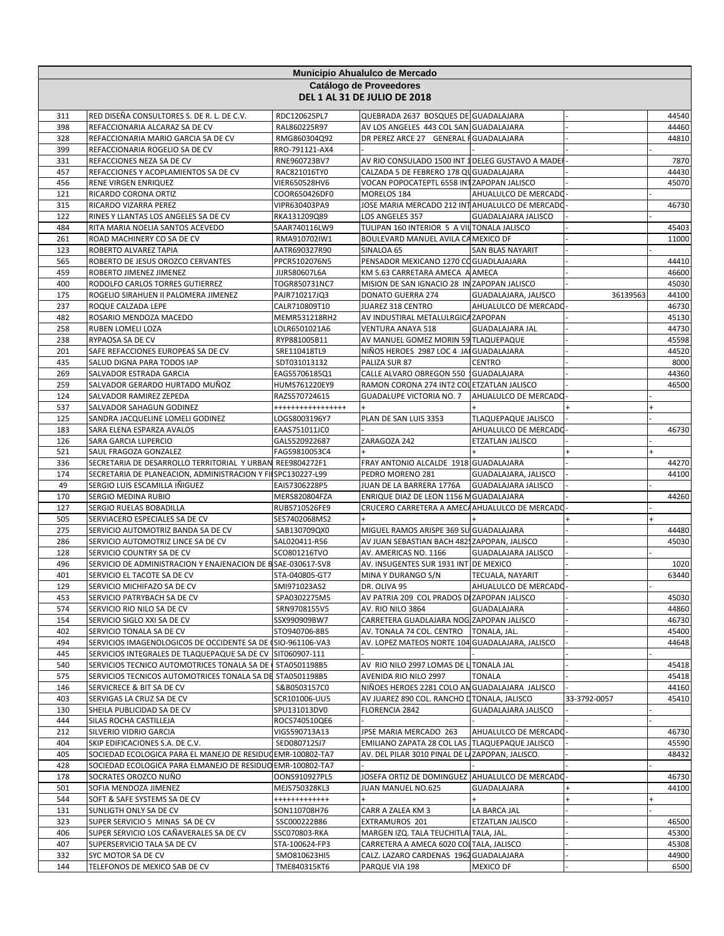|            | Municipio Ahualulco de Mercado                                                                                           |                                 |                                                                                  |                            |              |                |  |  |
|------------|--------------------------------------------------------------------------------------------------------------------------|---------------------------------|----------------------------------------------------------------------------------|----------------------------|--------------|----------------|--|--|
|            |                                                                                                                          |                                 | Catálogo de Proveedores                                                          |                            |              |                |  |  |
|            |                                                                                                                          |                                 | <b>DEL 1 AL 31 DE JULIO DE 2018</b>                                              |                            |              |                |  |  |
| 311        | RED DISEÑA CONSULTORES S. DE R. L. DE C.V.                                                                               | RDC120625PL7                    | QUEBRADA 2637 BOSQUES DE GUADALAJARA                                             |                            |              | 44540          |  |  |
| 398        | REFACCIONARIA ALCARAZ SA DE CV                                                                                           | RAL860225R97                    | AV LOS ANGELES 443 COL SAN GUADALAJARA                                           |                            |              | 44460          |  |  |
| 328        | REFACCIONARIA MARIO GARCIA SA DE CV                                                                                      | RMG860304Q92                    | DR PEREZ ARCE 27 GENERAL FGUADALAJARA                                            |                            |              | 44810          |  |  |
| 399<br>331 | REFACCIONARIA ROGELIO SA DE CV<br>REFACCIONES NEZA SA DE CV                                                              | RRO-791121-AX4<br>RNE960723BV7  | AV RIO CONSULADO 1500 INT 1 DELEG GUSTAVO A MADEI                                |                            |              | 7870           |  |  |
| 457        | REFACCIONES Y ACOPLAMIENTOS SA DE CV                                                                                     | RAC821016TY0                    | CALZADA 5 DE FEBRERO 178 QU GUADALAJARA                                          |                            |              | 44430          |  |  |
| 456        | RENE VIRGEN ENRIQUEZ                                                                                                     | VIER650528HV6                   | VOCAN POPOCATEPTL 6558 INTZAPOPAN JALISCO                                        |                            |              | 45070          |  |  |
| 121        | RICARDO CORONA ORTIZ                                                                                                     | COOR650426DF0                   | MORELOS 184                                                                      | AHUALULCO DE MERCADO       |              |                |  |  |
| 315<br>122 | RICARDO VIZARRA PEREZ<br>RINES Y LLANTAS LOS ANGELES SA DE CV                                                            | VIPR630403PA9                   | JOSE MARIA MERCADO 212 INT AHUALULCO DE MERCADO<br>LOS ANGELES 357               | GUADALAJARA JALISCO        |              | 46730          |  |  |
| 484        | RITA MARIA NOELIA SANTOS ACEVEDO                                                                                         | RKA131209Q89<br>SAAR740116LW9   | TULIPAN 160 INTERIOR 5 A VIL TONALA JALISCO                                      |                            |              | 45403          |  |  |
| 261        | ROAD MACHINERY CO SA DE CV                                                                                               | RMA910702IW1                    | BOULEVARD MANUEL AVILA CA MEXICO DF                                              |                            |              | 11000          |  |  |
| 123        | ROBERTO ALVAREZ TAPIA                                                                                                    | AATR690327R90                   | SINALOA 65                                                                       | SAN BLAS NAYARIT           |              |                |  |  |
| 565        | ROBERTO DE JESUS OROZCO CERVANTES                                                                                        | PPCR5102076N5                   | PENSADOR MEXICANO 1270 CO GUADLAJAJARA                                           |                            |              | 44410          |  |  |
| 459        | ROBERTO JIMENEZ JIMENEZ                                                                                                  | JIJR580607L6A                   | KM 5.63 CARRETARA AMECA A AMECA                                                  |                            |              | 46600          |  |  |
| 400<br>175 | RODOLFO CARLOS TORRES GUTIERREZ<br>ROGELIO SIRAHUEN II PALOMERA JIMENEZ                                                  | TOGR850731NC7<br>PAJR710217JQ3  | MISION DE SAN IGNACIO 28 IN ZAPOPAN JALISCO<br><b>DONATO GUERRA 274</b>          | GUADALAJARA, JALISCO       | 36139563     | 45030<br>44100 |  |  |
| 237        | ROQUE CALZADA LEPE                                                                                                       | CALR710809T10                   | JUAREZ 318 CENTRO                                                                | AHUALULCO DE MERCADO       |              | 46730          |  |  |
| 482        | ROSARIO MENDOZA MACEDO                                                                                                   | MEMR531218RH2                   | AV INDUSTIRAL METALULRGICA ZAPOPAN                                               |                            |              | 45130          |  |  |
| 258        | RUBEN LOMELI LOZA                                                                                                        | LOLR6501021A6                   | VENTURA ANAYA 518                                                                | <b>GUADALAJARA JAL</b>     |              | 44730          |  |  |
| 238        | RYPAOSA SA DE CV                                                                                                         | RYP881005B11                    | AV MANUEL GOMEZ MORIN 59 TLAQUEPAQUE                                             |                            |              | 45598          |  |  |
| 201        | SAFE REFACCIONES EUROPEAS SA DE CV                                                                                       | SRE110418TL9                    | NIÑOS HEROES 2987 LOC 4 JAI GUADALAJARA                                          |                            |              | 44520          |  |  |
| 435<br>269 | SALUD DIGNA PARA TODOS IAP<br>SALVADOR ESTRADA GARCIA                                                                    | SDT031013132<br>EAGS5706185Q1   | PALIZA SUR 87<br>CALLE ALVARO OBREGON 550   GUADALAJARA                          | <b>CENTRO</b>              |              | 8000<br>44360  |  |  |
| 259        | SALVADOR GERARDO HURTADO MUÑOZ                                                                                           | HUMS761220EY9                   | RAMON CORONA 274 INT2 COL ETZATLAN JALISCO                                       |                            |              | 46500          |  |  |
| 124        | SALVADOR RAMIREZ ZEPEDA                                                                                                  | RAZS570724615                   | <b>GUADALUPE VICTORIA NO. 7</b>                                                  | AHUALULCO DE MERCADO       |              |                |  |  |
| 537        | SALVADOR SAHAGUN GODINEZ                                                                                                 | ,,,,,,,,,,,,,,,,,               |                                                                                  |                            |              |                |  |  |
| 125        | SANDRA JACQUELINE LOMELI GODINEZ                                                                                         | LOGS8003196Y7                   | PLAN DE SAN LUIS 3353                                                            | <b>TLAQUEPAQUE JALISCO</b> |              |                |  |  |
| 183        | SARA ELENA ESPARZA AVALOS                                                                                                | EAAS751011JC0                   |                                                                                  | AHUALULCO DE MERCADO       |              | 46730          |  |  |
| 126        | SARA GARCIA LUPERCIO                                                                                                     | GALS520922687                   | ZARAGOZA 242                                                                     | ETZATLAN JALISCO           |              |                |  |  |
| 521<br>336 | SAUL FRAGOZA GONZALEZ<br>SECRETARIA DE DESARROLLO TERRITORIAL Y URBAN REE9804272F1                                       | FAGS9810053C4                   | FRAY ANTONIO ALCALDE 1918 GUADALAJARA                                            |                            |              | 44270          |  |  |
| 174        | SECRETARIA DE PLANEACION, ADMINISTRACION Y FILSPC130227-L99                                                              |                                 | PEDRO MORENO 281                                                                 | GUADALAJARA, JALISCO       |              | 44100          |  |  |
| 49         | SERGIO LUIS ESCAMILLA IÑIGUEZ                                                                                            | EAIS7306228P5                   | JUAN DE LA BARRERA 1776A                                                         | <b>GUADALAJARA JALISCO</b> |              |                |  |  |
| 170        | SERGIO MEDINA RUBIO                                                                                                      | MERS820804FZA                   | ENRIQUE DIAZ DE LEON 1156 M GUADALAJARA                                          |                            |              | 44260          |  |  |
| 127        | SERGIO RUELAS BOBADILLA                                                                                                  | RUBS710526FE9                   | CRUCERO CARRETERA A AMECA AHUALULCO DE MERCADO                                   |                            |              |                |  |  |
| 505<br>275 | SERVIACERO ESPECIALES SA DE CV<br>SERVICIO AUTOMOTRIZ BANDA SA DE CV                                                     | SES7402068MS2                   | MIGUEL RAMOS ARISPE 369 SU GUADALAJARA                                           |                            |              | 44480          |  |  |
| 286        | SERVICIO AUTOMOTRIZ LINCE SA DE CV                                                                                       | SAB130709QX0<br>SAL020411-R56   | AV JUAN SEBASTIAN BACH 482 ZAPOPAN, JALISCO                                      |                            |              | 45030          |  |  |
| 128        | SERVICIO COUNTRY SA DE CV                                                                                                | SCO801216TVO                    | AV. AMERICAS NO. 1166                                                            | <b>GUADALAJARA JALISCO</b> |              |                |  |  |
| 496        | SERVICIO DE ADMINISTRACION Y ENAJENACION DE B SAE-030617-SV8                                                             |                                 | AV. INSUGENTES SUR 1931 INT DE MEXICO                                            |                            |              | 1020           |  |  |
| 401        | SERVICIO EL TACOTE SA DE CV                                                                                              | STA-040805-GT7                  | MINA Y DURANGO S/N                                                               | TECUALA, NAYARIT           |              | 63440          |  |  |
| 129        | SERVICIO MICHIFAZO SA DE CV                                                                                              | SMI971023AS2                    | DR. OLIVA 95                                                                     | AHUALULCO DE MERCADO-      |              |                |  |  |
| 453<br>574 | SERVICIO PATRYBACH SA DE CV<br>SERVICIO RIO NILO SA DE CV                                                                | SPA0302275M5<br>SRN9708155V5    | AV PATRIA 209 COL PRADOS DI ZAPOPAN JALISCO<br>AV. RIO NILO 3864                 | GUADALAJARA                |              | 45030<br>44860 |  |  |
| 154        | SERVICIO SIGLO XXI SA DE CV                                                                                              | SSX990909BW7                    | CARRETERA GUADLAJARA NOG ZAPOPAN JALISCO                                         |                            |              | 46730          |  |  |
| 402        | SERVICIO TONALA SA DE CV                                                                                                 | STO940706-8B5                   | AV. TONALA 74 COL. CENTRO                                                        | TONALA, JAL.               |              | 45400          |  |  |
| 494        | SERVICIOS IMAGENOLOGICOS DE OCCIDENTE SA DE (SIO-961106-VA3                                                              |                                 | AV. LOPEZ MATEOS NORTE 104 GUADALAJARA, JALISCO                                  |                            |              | 44648          |  |  |
| 445        | SERVICIOS INTEGRALES DE TLAQUEPAQUE SA DE CV SIT060907-111                                                               |                                 |                                                                                  |                            |              |                |  |  |
| 540        | SERVICIOS TECNICO AUTOMOTRICES TONALA SA DE STA0501198B5                                                                 |                                 | AV RIO NILO 2997 LOMAS DE L TONALA JAL                                           |                            |              | 45418          |  |  |
| 575<br>146 | SERVICIOS TECNICOS AUTOMOTRICES TONALA SA DE STA0501198B5<br>SERVICRECE & BIT SA DE CV                                   | S&B0503157C0                    | AVENIDA RIO NILO 2997<br>NIÑOES HEROES 2281 COLO AN GUADALAJARA JALISCO          | <b>TONALA</b>              |              | 45418<br>44160 |  |  |
| 403        | SERVIGAS LA CRUZ SA DE CV                                                                                                | SCR101006-UU5                   | AV JUAREZ 890 COL. RANCHO LITONALA, JALISCO                                      |                            | 33-3792-0057 | 45410          |  |  |
| 130        | SHEILA PUBLICIDAD SA DE CV                                                                                               | SPU131013DV0                    | FLORENCIA 2842                                                                   | <b>GUADALAJARA JALISCO</b> |              |                |  |  |
| 444        | SILAS ROCHA CASTILLEJA                                                                                                   | ROCS740510QE6                   |                                                                                  |                            |              |                |  |  |
| 212        | SILVERIO VIDRIO GARCIA                                                                                                   | VIGS590713A13                   | JPSE MARIA MERCADO 263                                                           | AHUALULCO DE MERCADO       |              | 46730          |  |  |
| 404        | SKIP EDIFICACIONES S.A. DE C.V.                                                                                          | SED080712SJ7                    | EMILIANO ZAPATA 28 COL LAS JTLAQUEPAQUE JALISCO                                  |                            |              | 45590          |  |  |
| 405<br>428 | SOCIEDAD ECOLOGICA PARA EL MANEJO DE RESIDUCEMR-100802-TA7<br>SOCIEDAD ECOLOGICA PARA ELMANEJO DE RESIDUO EMR-100802-TA7 |                                 | AV. DEL PILAR 3010 PINAL DE LAZAPOPAN, JALISCO.                                  |                            |              | 48432          |  |  |
| 178        | SOCRATES OROZCO NUÑO                                                                                                     | OONS910927PL5                   | JOSEFA ORTIZ DE DOMINGUEZ AHUALULCO DE MERCADO                                   |                            |              | 46730          |  |  |
| 501        | SOFIA MENDOZA JIMENEZ                                                                                                    | MEJS750328KL3                   | JUAN MANUEL NO.625                                                               | GUADALAJARA                |              | 44100          |  |  |
| 544        | SOFT & SAFE SYSTEMS SA DE CV                                                                                             | ++++++++++++                    |                                                                                  |                            |              |                |  |  |
| 131        | SUNLIGTH ONLY SA DE CV                                                                                                   | SON110708H76                    | CARR A ZALEA KM 3                                                                | LA BARCA JAL               |              |                |  |  |
| 323        | SUPER SERVICIO 5 MINAS SA DE CV                                                                                          | SSC000222B86                    | EXTRAMUROS 201                                                                   | ETZATLAN JALISCO           |              | 46500          |  |  |
| 406<br>407 | SUPER SERVICIO LOS CAÑAVERALES SA DE CV<br>SUPERSERVICIO TALA SA DE CV                                                   | SSC070803-RKA<br>STA-100624-FP3 | MARGEN IZQ. TALA TEUCHITLA TALA, JAL.<br>CARRETERA A AMECA 6020 COLTALA, JALISCO |                            |              | 45300<br>45308 |  |  |
| 332        | SYC MOTOR SA DE CV                                                                                                       | SMO810623HI5                    | CALZ. LAZARO CARDENAS 1962 GUADALAJARA                                           |                            |              | 44900          |  |  |
| 144        | TELEFONOS DE MEXICO SAB DE CV                                                                                            | TME840315KT6                    | PARQUE VIA 198                                                                   | MEXICO DF                  |              | 6500           |  |  |